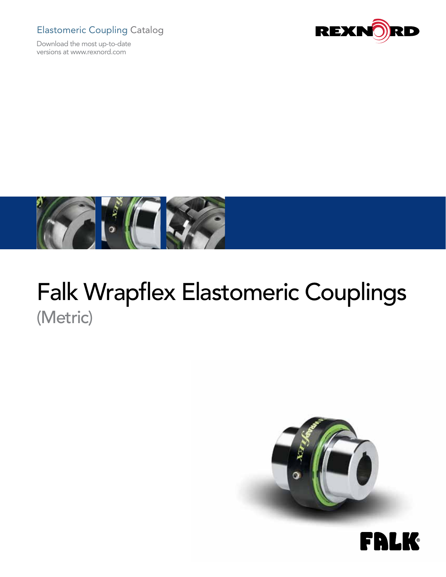## Elastomeric Coupling Catalog

Download the most up-to-date versions at www.rexnord.com





# Falk Wrapflex Elastomeric Couplings (Metric)



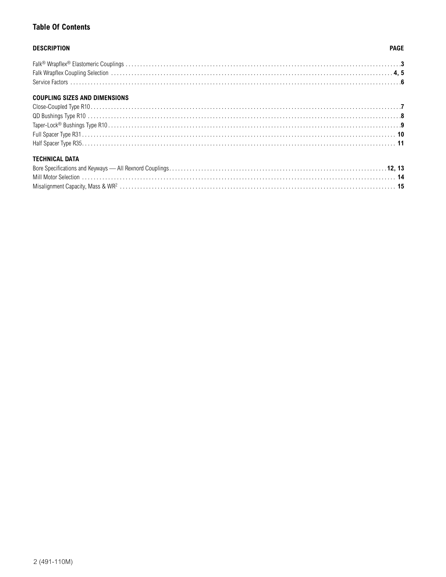### **Table Of Contents**

### **DESCRIPTION**

### **PAGE**

### **COUPLING SIZES AND DIMENSIONS**

### **TECHNICAL DATA**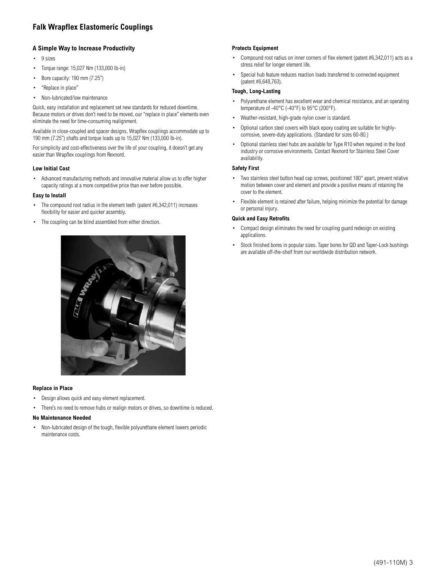### **Falk Wrapflex Elastomeric Couplings**

### **A Simple Way to Increase Productivity**

- • 9 sizes
- Torque range: 15,027 Nm (133,000 lb-in)
- Bore capacity: 190 mm (7.25")
- "Replace in place"
- Non-lubricated/low maintenance

Quick, easy installation and replacement set new standards for reduced downtime. Because motors or drives don't need to be moved, our "replace in place" elements even eliminate the need for time-consuming realignment.

Available in close-coupled and spacer designs, Wrapflex couplings accommodate up to 190 mm (7.25") shafts and torque loads up to 15,027 Nm (133,000 lb-in).

For simplicity and cost-effectiveness over the life of your coupling, it doesn't get any easier than Wrapflex couplings from Rexnord.

### **Low Initial Cost**

Advanced manufacturing methods and innovative material allow us to offer higher capacity ratings at a more competitive price than ever before possible.

### **Easy to Install**

- The compound root radius in the element teeth (patent #6,342,011) increases flexibility for easier and quicker assembly.
- The coupling can be blind assembled from either direction.



#### **Replace in Place**

- • Design allows quick and easy element replacement.
- There's no need to remove hubs or realign motors or drives, so downtime is reduced.

### **No Maintenance Needed**

Non-lubricated design of the tough, flexible polyurethane element lowers periodic maintenance costs.

### **Protects Equipment**

- Compound root radius on inner corners of flex element (patent  $#6,342,011$ ) acts as a stress relief for longer element life.
- Special hub feature reduces reaction loads transferred to connected equipment (patent #6,648,763).

### **Tough, Long-Lasting**

- Polyurethane element has excellent wear and chemical resistance, and an operating temperature of -40°C (-40°F) to 95°C (200°F).
- Weather-resistant, high-grade nylon cover is standard.
- Optional carbon steel covers with black epoxy coating are suitable for highlycorrosive, severe-duty applications. (Standard for sizes 60-80.)
- Optional stainless steel hubs are available for Type R10 when required in the food industry or corrosive environments. Contact Rexnord for Stainless Steel Cover availability.

### **Safety First**

- Two stainless steel button head cap screws, positioned 180° apart, prevent relative motion between cover and element and provide a positive means of retaining the cover to the element.
- Flexible element is retained after failure, helping minimize the potential for damage or personal injury.

#### **Quick and Easy Retrofits**

- • Compact design eliminates the need for coupling guard redesign on existing applications.
- Stock finished bores in popular sizes. Taper bores for QD and Taper-Lock bushings are available off-the-shelf from our worldwide distribution network.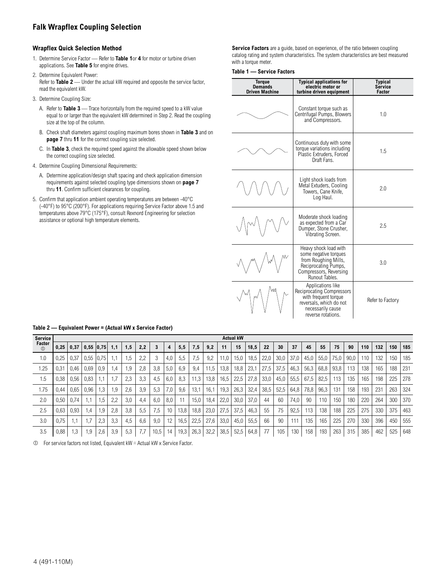### **Falk Wrapflex Coupling Selection**

### **Wrapflex Quick Selection Method**

- 1. Determine Service Factor Refer to **Table 1**or **4** for motor or turbine driven applications. See **Table 5** for engine drives.
- 2. Determine Equivalent Power: Refer to **Table 2** — Under the actual kW required and opposite the service factor, read the equivalent kW.
- 3. Determine Coupling Size:
	- A. Refer to **Table 3** Trace horizontally from the required speed to a kW value equal to or larger than the equivalent kW determined in Step 2. Read the coupling size at the top of the column.
	- B. Check shaft diameters against coupling maximum bores shown in **Table 3** and on **page 7** thru **11** for the correct coupling size selected.
	- C. In **Table 3**, check the required speed against the allowable speed shown below the correct coupling size selected.
- 4. Determine Coupling Dimensional Requirements:
	- A. Determine application/design shaft spacing and check application dimension requirements against selected coupling type dimensions shown on **page 7** thru **11**. Confirm sufficient clearances for coupling.
- 5. Confirm that application ambient operating temperatures are between -40°C (-40°F) to 95°C (200°F). For applications requiring Service Factor above 1.5 and temperatures above 79°C (175°F), consult Rexnord Engineering for selection assistance or optional high temperature elements.

**Service Factors** are a guide, based on experience, of the ratio between coupling catalog rating and system characteristics. The system characteristics are best measured with a torque meter.

### **Table 1 — Service Factors**

| <b>Torque</b><br><b>Demands</b><br><b>Driven Machine</b> | <b>Typical applications for</b><br>electric motor or<br>turbine driven equipment                                                                    | <b>Typical</b><br>Service<br>Factor |
|----------------------------------------------------------|-----------------------------------------------------------------------------------------------------------------------------------------------------|-------------------------------------|
|                                                          | Constant torque such as<br>Centrifugal Pumps, Blowers<br>and Compressors.                                                                           | 1.0                                 |
|                                                          | Continuous duty with some<br>torque variations including<br>Plastic Extruders. Forced<br>Draft Fans.                                                | 1.5                                 |
|                                                          | Light shock loads from<br>Metal Extuders, Cooling<br>Towers, Cane Knife,<br>Log Haul.                                                               | 2.0                                 |
|                                                          | Moderate shock loading<br>as expected from a Car<br>Dumper, Stone Crusher,<br>Vibrating Screen.                                                     | 2.5                                 |
|                                                          | Heavy shock load with<br>some negative torques<br>from Roughing Mills,<br>Reciprocating Pumps,<br>Compressors, Reversing<br>Runout Tables.          | 3.0                                 |
|                                                          | Applications like<br><b>Reciprocating Compressors</b><br>with frequent torque<br>reversals, which do not<br>necessarily cause<br>reverse rotations. | Refer to Factory                    |

| <b>Service</b>           |      |           |               |                 |     |     |     |      |     |      |      |      |      | <b>Actual kW</b> |      |      |      |      |      |      |      |      |     |     |     |     |
|--------------------------|------|-----------|---------------|-----------------|-----|-----|-----|------|-----|------|------|------|------|------------------|------|------|------|------|------|------|------|------|-----|-----|-----|-----|
| Factor<br>$\circledcirc$ | 0,25 | 0,37      |               | $0.55$ $ 0.75 $ | 1.1 | , 5 | 2,2 |      | 4   | 5,5  | 7,5  | 9,2  | 11   | 15               | 18,5 | 22   | 30   | 37   | 45   | 55   | 75   | 90   | 110 | 132 | 150 | 185 |
| 1.0                      | 0,25 | 0,37      | 0,55          | 0.75            |     | .5  | 2,2 | 3    | 4,0 | 5,5  | 7,5  | 9.2  | 11,0 | 15,0             | 18,5 | 22,0 | 30,0 | 37,0 | 45,0 | 55,0 | 75,0 | 90,0 | 110 | 132 | 150 | 185 |
| 1.25                     | 0.31 | 0,46      | 0.69          | 0,9             | 1,4 | 9.  | 2,8 | 3,8  | 5,0 | 6,9  | 9,4  | 11,5 | 13,8 | 18,8             | 23,1 | 27,5 | 37,5 | 46,3 | 56,3 | 68,8 | 93,8 | 113  | 138 | 165 | 188 | 231 |
| 1.5                      | 0.38 | 0,56      | 0,83          |                 | 1.7 | 2,3 | 3,3 | 4,5  | 6,0 | 8,3  | 11,3 | 13,8 | 16,5 | 22,5             | 27,8 | 33,0 | 45,0 | 55,5 | 67,5 | 82,5 | 113  | 135  | 165 | 198 | 225 | 278 |
| 1.75                     | 0.44 | 0,65      | 0,96          | . 3             | 1,9 | 2,6 | 3,9 | 5,3  | 7,0 | 9,6  | 13,1 | 16,1 | 19,3 | 26,3             | 32,4 | 38,5 | 52,5 | 64,8 | 78,8 | 96,3 | 131  | 158  | 193 | 231 | 263 | 324 |
| 2.0                      | 0.50 | 0.74      | $\mathsf{L}1$ | . 5             | 2,2 | 3.0 | 4.4 | 6.0  | 8.0 |      | 15,0 | 18,4 | 22.0 | 30,0             | 37.0 | 44   | 60   | 74.0 | 90   | 110  | 150  | 180  | 220 | 264 | 300 | 370 |
| 2.5                      | 0.63 | 0,93      | 1,4           | 1,9             | 2,8 | 3.8 | 5.5 | 7.5  | 10  | 13,8 | 18,8 | 23,0 | 27,5 | 37,5             | 46,3 | 55   | 75   | 92,5 | 113  | 138  | 188  | 225  | 275 | 330 | 375 | 463 |
| 3.0                      | 0.75 | $\cdot$ 1 | 1.7           | 2.3             | 3.3 | 4.5 | 6.6 | 9.0  | 12  | 16,5 | 22,5 | 27,6 | 33,0 | 45,0             | 55.5 | 66   | 90   | 111  | 135  | 165  | 225  | 270  | 330 | 396 | 450 | 555 |
| 3.5                      | 0,88 | 1,3       | 1,9           | 2,6             | 3,9 | 5,3 |     | 10,5 | 14  | 19,3 | 26,3 | 32,2 | 38,5 | 52,5             | 64,8 | 77   | 105  | 130  | 158  | 193  | 263  | 315  | 385 | 462 | 525 | 648 |

**Table 2 — Equivalent Power = (Actual kW x Service Factor)**

 $\Phi$  For service factors not listed, Equivalent kW = Actual kW x Service Factor.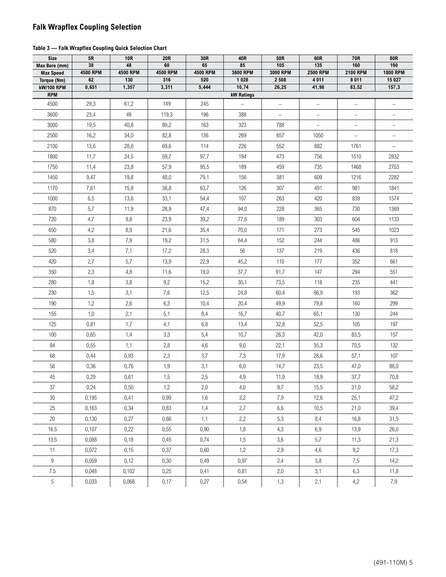### **Falk Wrapflex Coupling Selection**

### **Table 3 — Falk Wrapflex Coupling Quick Selection Chart**

| <b>Size</b>                       | 5R             | <b>10R</b>            | <b>20R</b>     | 30R            | 40R               | 50R               | 60R                      | 70R                      | 80R                    |
|-----------------------------------|----------------|-----------------------|----------------|----------------|-------------------|-------------------|--------------------------|--------------------------|------------------------|
| Max Bore (mm)<br><b>Max Speed</b> | 38<br>4500 RPM | 48<br><b>4500 RPM</b> | 60<br>4500 RPM | 65<br>4500 RPM | 85<br>3600 RPM    | 105<br>3000 RPM   | 135<br><b>2500 RPM</b>   | 160<br>2100 RPM          | 190<br><b>1800 RPM</b> |
| Torque (Nm)                       | 62             | 130                   | 316            | 520            | 1 0 2 8           | 2 5 0 8           | 4 0 1 1                  | 8 0 1 1                  | 15 027                 |
| <b>kW/100 RPM</b>                 | 0,651          | 1,357                 | 3,311          | 5,444          | 10,74             | 26,25             | 41,98                    | 83,52                    | 157,3                  |
| <b>RPM</b>                        |                |                       |                |                | <b>kW Ratings</b> |                   |                          |                          |                        |
| 4500                              | 29,3           | 61,2                  | 149            | 245            |                   | $\qquad \qquad$   | $\overline{\phantom{0}}$ | $\overline{\phantom{0}}$ |                        |
| 3600                              | 23,4           | 49                    | 119,3          | 196            | 388               | $\qquad \qquad -$ | $\qquad \qquad -$        | $\overline{\phantom{a}}$ | $\qquad \qquad -$      |
| 3000                              | 19,5           | 40,8                  | 89,2           | 163            | 323               | 788               | $\qquad \qquad -$        | $\qquad \qquad -$        |                        |
| 2500                              | 16,2           | 34,0                  | 82,8           | 136            | 269               | 657               | 1050                     | $\overline{\phantom{0}}$ |                        |
| 2100                              | 13,6           | 28,6                  | 69,6           | 114            | 226               | 552               | 882                      | 1761                     | $\qquad \qquad$        |
| 1800                              | 11,7           | 24,5                  | 59,7           | 97,7           | 194               | 473               | 756                      | 1510                     | 2832                   |
| 1750                              | 11,4           | 23,8                  | 57,9           | 95,5           | 189               | 459               | 735                      | 1468                     | 2753                   |
| 1450                              | 9,47           | 19,8                  | 48,0           | 79,1           | 156               | 381               | 609                      | 1216                     | 2282                   |
| 1170                              | 7,61           | 15,9                  | 38,8           | 63,7           | 126               | 307               | 491                      | 981                      | 1841                   |
| 1000                              | 6,5            | 13,6                  | 33,1           | 54,4           | 107               | 263               | 420                      | 839                      | 1574                   |
| 870                               | 5,7            | 11,9                  | 28,9           | 47,4           | 94,0              | 228               | 365                      | 730                      | 1369                   |
| 720                               | 4,7            | 9,8                   | 23,9           | 39,2           | 77,6              | 189               | 303                      | 604                      | 1133                   |
| 650                               | 4,2            | 8,9                   | 21,6           | 35,4           | 70,0              | 171               | 273                      | 545                      | 1023                   |
| 580                               | 3,8            | 7,9                   | 19,2           | 31,5           | 64,4              | 152               | 244                      | 486                      | 913                    |
| 520                               | 3,4            | 7,1                   | 17,2           | 28,3           | 56                | 137               | 219                      | 436                      | 818                    |
| 420                               | 2,7            | 5,7                   | 13,9           | 22,9           | 45,2              | 110               | 177                      | 352                      | 661                    |
| 350                               | 2,3            | 4,8                   | 11,6           | 19,0           | 37,7              | 91,7              | 147                      | 294                      | 551                    |
| 280                               | 1,8            | 3,8                   | 9,2            | 15,2           | 30,1              | 73,5              | 118                      | 235                      | 441                    |
| 230                               | 1,5            | 3,1                   | 7,6            | 12,5           | 24,8              | 60,4              | 96,9                     | 193                      | 362                    |
| 190                               | 1,2            | 2,6                   | 6,3            | 10,4           | 20,4              | 49,9              | 79,8                     | 160                      | 299                    |
| 155                               | 1,0            | 2,1                   | 5,1            | 8,4            | 16,7              | 40,7              | 65,1                     | 130                      | 244                    |
| 125                               | 0,81           | 1,7                   | 4,1            | 6,8            | 13,4              | 32,8              | 52,5                     | 105                      | 197                    |
| 100                               | 0,65           | 1,4                   | 3,3            | 5,4            | 10,7              | 26,3              | 42,0                     | 83,5                     | 157                    |
| 84                                | 0,55           | 1,1                   | 2,8            | 4,6            | 9,0               | 22,1              | 35,3                     | 70,5                     | 132                    |
| 68                                | 0,44           | 0,93                  | 2,3            | 3,7            | 7,3               | 17,9              | 28,6                     | 57,1                     | 107                    |
| 56                                | 0,36           | 0,76                  | 1,9            | 3,1            | 6,0               | 14,7              | 23,5                     | 47,0                     | 88,0                   |
| 45                                | 0,29           | 0,61                  | 1,5            | 2,5            | 4,9               | 11,9              | 18,9                     | 37,7                     | 70,8                   |
| 37                                | 0,24           | 0,50                  | 1,2            | 2,0            | 4,0               | 9,7               | 15,5                     | 31,0                     | 58,2                   |
| $30\,$                            | 0,195          | 0,41                  | 0,99           | 1,6            | 3,2               | 7,9               | 12,6                     | 25,1                     | 47,2                   |
| $25\,$                            | 0,163          | 0,34                  | 0,83           | 1,4            | 2,7               | 6,6               | 10,5                     | 21,0                     | 39,4                   |
| 20                                | 0,130          | 0,27                  | 0,66           | 1,1            | 2,2               | 5,3               | 8,4                      | 16,8                     | 31,5                   |
| 16.5                              | 0,107          | 0,22                  | 0,55           | 0,90           | 1,8               | 4,3               | 6,9                      | 13,9                     | 26,0                   |
| 13.5                              | 0,088          | 0,18                  | 0,45           | 0,74           | 1,5               | 3,6               | 5,7                      | 11,3                     | 21,3                   |
| 11                                | 0,072          | 0,15                  | 0,37           | 0,60           | 1,2               | 2,9               | 4,6                      | 9,2                      | 17,3                   |
| $9\phantom{.0}$                   | 0,059          | 0,12                  | 0,30           | 0,49           | 0,97              | 2,4               | 3,8                      | 7,5                      | 14,2                   |
| $7.5\,$                           | 0,048          | 0,102                 | 0,25           | 0,41           | 0,81              | 2,0               | 3,1                      | 6,3                      | 11,8                   |
| 5                                 | 0,033          | 0,068                 | 0,17           | 0,27           | 0,54              | 1,3               | 2,1                      | 4,2                      | 7,9                    |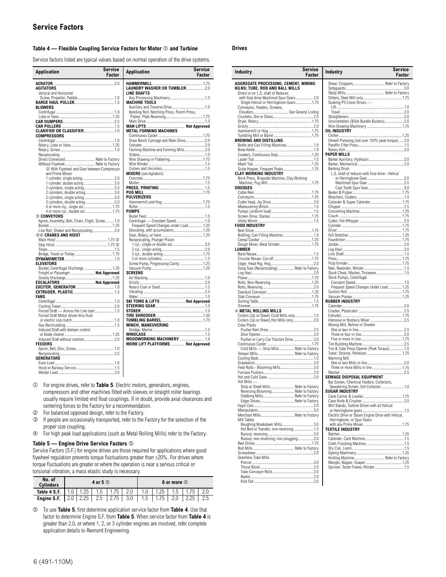### Table 4 — Flexible Coupling Service Factors for Motor  $\mathbb O$  and Turbine **Drives**

Service factors listed are typical values based on normal operation of the drive systems.

| Application                                      | Service<br>Factor | <b>Application</b>                         | Service<br>Factor |
|--------------------------------------------------|-------------------|--------------------------------------------|-------------------|
|                                                  |                   |                                            |                   |
| AGITATORS                                        |                   |                                            |                   |
| Vertical and Horizontal                          |                   | <b>LINE SHAFTS</b>                         |                   |
|                                                  |                   |                                            |                   |
|                                                  |                   | <b>MACHINE TOOLS</b>                       |                   |
| <b>BLOWERS</b>                                   |                   | Auxiliary and Traverse Drive 1.0           |                   |
|                                                  |                   | Bending Roll, Notching Press, Punch Press, |                   |
|                                                  |                   |                                            |                   |
|                                                  |                   |                                            |                   |
|                                                  |                   |                                            |                   |
|                                                  |                   | <b>METAL FORMING MACHINES</b>              |                   |
| <b>COMPRESSORS</b>                               |                   |                                            |                   |
|                                                  |                   |                                            |                   |
|                                                  |                   |                                            |                   |
|                                                  |                   | Farming Machine and Forming Mills 2.0      |                   |
| Reciprocating                                    |                   |                                            |                   |
| Direct Connected Refer to Factory                |                   |                                            |                   |
| Without Flywheel Refer to Factory                |                   |                                            |                   |
| 2 With Flywheel and Gear between Compressor      |                   |                                            |                   |
| and Prime Mover                                  |                   | <b>MIXERS</b> (see Agitators)              |                   |
| 1 cylinder, single acting3.0                     |                   |                                            |                   |
| 1 cylinder, double acting 3.0                    |                   |                                            |                   |
| 2 cylinders, single acting3.0                    |                   |                                            |                   |
| 2 cylinders, double acting3.0                    |                   |                                            |                   |
| 3 cylinders, single acting3.0                    |                   | <b>PULVERIZERS</b>                         |                   |
|                                                  |                   |                                            |                   |
| 4 or more cly., single act 1.75                  |                   |                                            |                   |
| 4 or more cyl., double act.  1.75                |                   | <b>PUMPS</b>                               |                   |
| <b>© CONVEYORS</b>                               |                   |                                            |                   |
| Apron, Assembly, Belt, Chain, Flight, Screw  1.0 |                   |                                            |                   |
|                                                  |                   | Frequent Speed Changes under Load 1.25     |                   |
| Live Roll, Shaker and Reciprocating3.0           |                   |                                            |                   |
| <b>34 CRANES AND HOIST</b>                       |                   |                                            |                   |
|                                                  |                   | Reciprocating, Plunger Piston              |                   |
|                                                  |                   |                                            |                   |
|                                                  |                   |                                            |                   |
|                                                  |                   |                                            |                   |
|                                                  |                   |                                            |                   |
| <b>ELEVATORS</b>                                 |                   | Screw Pump, Progressing Cavity 1.25        |                   |
| Bucket, Centrifugal Discharge  1.25              |                   |                                            |                   |
| Freight or Passenger  Not Approved               |                   | <b>SCREENS</b>                             |                   |
|                                                  |                   |                                            |                   |
|                                                  |                   |                                            |                   |
|                                                  |                   |                                            |                   |
| <b>FANS</b>                                      |                   |                                            |                   |
|                                                  |                   | SKI TOWS & LIFTS  Not Approved             |                   |
|                                                  |                   |                                            |                   |
| Forced Draft - Across the Line start 1.5         |                   |                                            |                   |
| Forced Draft Motor driven thru fluid             |                   |                                            |                   |
|                                                  |                   |                                            |                   |
|                                                  |                   | <b>WINCH. MANEUVERING</b>                  |                   |
| Induced Draft with damper control                |                   |                                            |                   |
|                                                  |                   |                                            |                   |
|                                                  |                   |                                            |                   |
| FEEDERS                                          |                   | WORK LIFT PLATFORMS  Not Approved          |                   |
|                                                  |                   |                                            |                   |
|                                                  |                   |                                            |                   |
| GENERATORS                                       |                   |                                            |                   |
|                                                  |                   |                                            |                   |
|                                                  |                   |                                            |                   |
|                                                  |                   |                                            |                   |

 For engine drives, refer to **Table 5**. Electric motors, generators, engines, compressors and other machines fitted with sleeves or straight roller bearings usually require limited end float couplings. If in doubt, provide axial clearances and centering forces to the Factory for a recommendation.

- **Example 3 For balanced opposed design, refer to the Factory.**<br>**9** If people are occasionally transported, refer to the
- If people are occasionally transported, refer to the Factory for the selection of the proper size coupling.
- For high peak load applications (such as Metal Rolling Mills) refer to the Factory.

#### **Table 5 — Engine Drive Service Factors**

Service Factors (S.F.) for engine drives are those required for applications where good flywheel regulation prevents torque fluctuations greater than ±20%. For drives where torque fluctuations are greater or where the operation is near a serious critical or torsional vibration, a mass elastic study is necessary.

| No. of<br><b>Cylinders</b> |      | 4 or 5 $\circledcirc$ |      | 6 or more <b>S</b> |      |  |      |  |  |  |  |
|----------------------------|------|-----------------------|------|--------------------|------|--|------|--|--|--|--|
| Table 4 S.F.               | 1.25 | 1.5                   | .75  |                    | . 25 |  |      |  |  |  |  |
| Engine S.F.                | 2.25 | 2.5                   | 2.75 | 1.5                | i.75 |  | 2.25 |  |  |  |  |

 To use **Table 5**, first determine application service factor from **Table 4**. Use that factor to determine Engine S.F. from **Table 5**. When service factor from **Table 4** is greater than 2.0, or where 1, 2, or 3 cylinder engines are involved, refer complete application details to Rexnord Engineering.

| Shear, Croppers Refer to Factory<br>AGGREGATE PROCESSING, CEMENT, MINING<br>KILNS; TUBE, ROD AND BALL MILLS<br>Direct or on L.S. shaft of Reducer,<br>with final drive Machined Spur Gears 2.0<br>Single Helical or Herringbone Gears 1.75<br>Soaking Pit Cover Drives -<br>Conveyors, Feeders, Screens,<br>Unscramblers (Billet Bundle Busters)2.0<br>OIL INDUSTRY<br>Oilwell Pumping (not over 150% peak torque)  2.0<br><b>BREWING AND DISTILLING</b><br>Bottle and Can Filling Machines  1.0<br>PAPER MILLS<br>Scale Hopper, Frequent Peaks 1.75<br>Barking Drum<br><b>CLAY WORKING INDUSTRY</b><br>L.S. shaft of reducer with final drive - Helical<br>Brick Press, Briquette Machine, Clay Working<br><b>DREDGES</b><br>FOOD INDUSTRY<br>Dough Mixer, Meat Grinder 1.75<br><b>LUMBER</b><br>Gang Saw (Reciprocating) Refer to Factory<br>Stock Chest, Washer, Thickener 1.5<br>Stock Pumps, Centrifugal<br>Frequent Speed Changes Under Load  1.25<br><b>RUBBER INDUSTRY</b><br>4 METAL ROLLING MILLS<br>Coilers (Up or Down) Cold Mills only 1.5<br>Mixing Mill, Refiner or Sheeter<br>Coke Plants<br>Pusher or Larry Car Traction Drive3.0<br>Cold Mills - Strip Mills Refer to Factory<br>Tire & Tube Press Opener (Peak Torque) 1.0<br>Warming Mill<br>Three or more Mills in line 1.75<br>SEWAGE DISPOSAL EQUIPMENT<br>Bar Screen, Chemical Feeders, Collectors,<br>Hot Mills -<br>Strip or Sheet Mills Refer to Factory<br>Dewatering Screen, Grit Collector 1.0<br>Reversing Blooming Refer to Factory<br>JGAR INDUSTRY<br>Slabbing Mills Refer to Factory<br>Edger Drives Refer to Factory<br>Mill Stands, Turbine Driver with all Helical<br>Merchant Mills Refer to Factory<br>Electric Drive or Steam Engine Drive with Helical,<br>Mill Tables<br>Herringbone, or Spur Gears<br>Roughing Breakdown Mills3.0<br>Hot Bed or Transfer, non-reversing  1.5<br><b>TEXTILE INDUSTRY</b><br>Runout, non-reversing, non-plugging2.0<br>Seamless Tube Mills<br>Knitting Machine Refer to Factory<br>Spinner, Tenter Frame, Winder 1.5 | Industry | Service<br>Factor | <b>Industry</b> | Service<br>Factor |
|------------------------------------------------------------------------------------------------------------------------------------------------------------------------------------------------------------------------------------------------------------------------------------------------------------------------------------------------------------------------------------------------------------------------------------------------------------------------------------------------------------------------------------------------------------------------------------------------------------------------------------------------------------------------------------------------------------------------------------------------------------------------------------------------------------------------------------------------------------------------------------------------------------------------------------------------------------------------------------------------------------------------------------------------------------------------------------------------------------------------------------------------------------------------------------------------------------------------------------------------------------------------------------------------------------------------------------------------------------------------------------------------------------------------------------------------------------------------------------------------------------------------------------------------------------------------------------------------------------------------------------------------------------------------------------------------------------------------------------------------------------------------------------------------------------------------------------------------------------------------------------------------------------------------------------------------------------------------------------------------------------------------------------------------|----------|-------------------|-----------------|-------------------|
|                                                                                                                                                                                                                                                                                                                                                                                                                                                                                                                                                                                                                                                                                                                                                                                                                                                                                                                                                                                                                                                                                                                                                                                                                                                                                                                                                                                                                                                                                                                                                                                                                                                                                                                                                                                                                                                                                                                                                                                                                                                |          |                   |                 |                   |
|                                                                                                                                                                                                                                                                                                                                                                                                                                                                                                                                                                                                                                                                                                                                                                                                                                                                                                                                                                                                                                                                                                                                                                                                                                                                                                                                                                                                                                                                                                                                                                                                                                                                                                                                                                                                                                                                                                                                                                                                                                                |          |                   |                 |                   |
|                                                                                                                                                                                                                                                                                                                                                                                                                                                                                                                                                                                                                                                                                                                                                                                                                                                                                                                                                                                                                                                                                                                                                                                                                                                                                                                                                                                                                                                                                                                                                                                                                                                                                                                                                                                                                                                                                                                                                                                                                                                |          |                   |                 |                   |
|                                                                                                                                                                                                                                                                                                                                                                                                                                                                                                                                                                                                                                                                                                                                                                                                                                                                                                                                                                                                                                                                                                                                                                                                                                                                                                                                                                                                                                                                                                                                                                                                                                                                                                                                                                                                                                                                                                                                                                                                                                                |          |                   |                 |                   |
|                                                                                                                                                                                                                                                                                                                                                                                                                                                                                                                                                                                                                                                                                                                                                                                                                                                                                                                                                                                                                                                                                                                                                                                                                                                                                                                                                                                                                                                                                                                                                                                                                                                                                                                                                                                                                                                                                                                                                                                                                                                |          |                   |                 |                   |
|                                                                                                                                                                                                                                                                                                                                                                                                                                                                                                                                                                                                                                                                                                                                                                                                                                                                                                                                                                                                                                                                                                                                                                                                                                                                                                                                                                                                                                                                                                                                                                                                                                                                                                                                                                                                                                                                                                                                                                                                                                                |          |                   |                 |                   |
|                                                                                                                                                                                                                                                                                                                                                                                                                                                                                                                                                                                                                                                                                                                                                                                                                                                                                                                                                                                                                                                                                                                                                                                                                                                                                                                                                                                                                                                                                                                                                                                                                                                                                                                                                                                                                                                                                                                                                                                                                                                |          |                   |                 |                   |
|                                                                                                                                                                                                                                                                                                                                                                                                                                                                                                                                                                                                                                                                                                                                                                                                                                                                                                                                                                                                                                                                                                                                                                                                                                                                                                                                                                                                                                                                                                                                                                                                                                                                                                                                                                                                                                                                                                                                                                                                                                                |          |                   |                 |                   |
|                                                                                                                                                                                                                                                                                                                                                                                                                                                                                                                                                                                                                                                                                                                                                                                                                                                                                                                                                                                                                                                                                                                                                                                                                                                                                                                                                                                                                                                                                                                                                                                                                                                                                                                                                                                                                                                                                                                                                                                                                                                |          |                   |                 |                   |
|                                                                                                                                                                                                                                                                                                                                                                                                                                                                                                                                                                                                                                                                                                                                                                                                                                                                                                                                                                                                                                                                                                                                                                                                                                                                                                                                                                                                                                                                                                                                                                                                                                                                                                                                                                                                                                                                                                                                                                                                                                                |          |                   |                 |                   |
|                                                                                                                                                                                                                                                                                                                                                                                                                                                                                                                                                                                                                                                                                                                                                                                                                                                                                                                                                                                                                                                                                                                                                                                                                                                                                                                                                                                                                                                                                                                                                                                                                                                                                                                                                                                                                                                                                                                                                                                                                                                |          |                   |                 |                   |
|                                                                                                                                                                                                                                                                                                                                                                                                                                                                                                                                                                                                                                                                                                                                                                                                                                                                                                                                                                                                                                                                                                                                                                                                                                                                                                                                                                                                                                                                                                                                                                                                                                                                                                                                                                                                                                                                                                                                                                                                                                                |          |                   |                 |                   |
|                                                                                                                                                                                                                                                                                                                                                                                                                                                                                                                                                                                                                                                                                                                                                                                                                                                                                                                                                                                                                                                                                                                                                                                                                                                                                                                                                                                                                                                                                                                                                                                                                                                                                                                                                                                                                                                                                                                                                                                                                                                |          |                   |                 |                   |
|                                                                                                                                                                                                                                                                                                                                                                                                                                                                                                                                                                                                                                                                                                                                                                                                                                                                                                                                                                                                                                                                                                                                                                                                                                                                                                                                                                                                                                                                                                                                                                                                                                                                                                                                                                                                                                                                                                                                                                                                                                                |          |                   |                 |                   |
|                                                                                                                                                                                                                                                                                                                                                                                                                                                                                                                                                                                                                                                                                                                                                                                                                                                                                                                                                                                                                                                                                                                                                                                                                                                                                                                                                                                                                                                                                                                                                                                                                                                                                                                                                                                                                                                                                                                                                                                                                                                |          |                   |                 |                   |
|                                                                                                                                                                                                                                                                                                                                                                                                                                                                                                                                                                                                                                                                                                                                                                                                                                                                                                                                                                                                                                                                                                                                                                                                                                                                                                                                                                                                                                                                                                                                                                                                                                                                                                                                                                                                                                                                                                                                                                                                                                                |          |                   |                 |                   |
|                                                                                                                                                                                                                                                                                                                                                                                                                                                                                                                                                                                                                                                                                                                                                                                                                                                                                                                                                                                                                                                                                                                                                                                                                                                                                                                                                                                                                                                                                                                                                                                                                                                                                                                                                                                                                                                                                                                                                                                                                                                |          |                   |                 |                   |
|                                                                                                                                                                                                                                                                                                                                                                                                                                                                                                                                                                                                                                                                                                                                                                                                                                                                                                                                                                                                                                                                                                                                                                                                                                                                                                                                                                                                                                                                                                                                                                                                                                                                                                                                                                                                                                                                                                                                                                                                                                                |          |                   |                 |                   |
|                                                                                                                                                                                                                                                                                                                                                                                                                                                                                                                                                                                                                                                                                                                                                                                                                                                                                                                                                                                                                                                                                                                                                                                                                                                                                                                                                                                                                                                                                                                                                                                                                                                                                                                                                                                                                                                                                                                                                                                                                                                |          |                   |                 |                   |
|                                                                                                                                                                                                                                                                                                                                                                                                                                                                                                                                                                                                                                                                                                                                                                                                                                                                                                                                                                                                                                                                                                                                                                                                                                                                                                                                                                                                                                                                                                                                                                                                                                                                                                                                                                                                                                                                                                                                                                                                                                                |          |                   |                 |                   |
|                                                                                                                                                                                                                                                                                                                                                                                                                                                                                                                                                                                                                                                                                                                                                                                                                                                                                                                                                                                                                                                                                                                                                                                                                                                                                                                                                                                                                                                                                                                                                                                                                                                                                                                                                                                                                                                                                                                                                                                                                                                |          |                   |                 |                   |
|                                                                                                                                                                                                                                                                                                                                                                                                                                                                                                                                                                                                                                                                                                                                                                                                                                                                                                                                                                                                                                                                                                                                                                                                                                                                                                                                                                                                                                                                                                                                                                                                                                                                                                                                                                                                                                                                                                                                                                                                                                                |          |                   |                 |                   |
|                                                                                                                                                                                                                                                                                                                                                                                                                                                                                                                                                                                                                                                                                                                                                                                                                                                                                                                                                                                                                                                                                                                                                                                                                                                                                                                                                                                                                                                                                                                                                                                                                                                                                                                                                                                                                                                                                                                                                                                                                                                |          |                   |                 |                   |
|                                                                                                                                                                                                                                                                                                                                                                                                                                                                                                                                                                                                                                                                                                                                                                                                                                                                                                                                                                                                                                                                                                                                                                                                                                                                                                                                                                                                                                                                                                                                                                                                                                                                                                                                                                                                                                                                                                                                                                                                                                                |          |                   |                 |                   |
|                                                                                                                                                                                                                                                                                                                                                                                                                                                                                                                                                                                                                                                                                                                                                                                                                                                                                                                                                                                                                                                                                                                                                                                                                                                                                                                                                                                                                                                                                                                                                                                                                                                                                                                                                                                                                                                                                                                                                                                                                                                |          |                   |                 |                   |
|                                                                                                                                                                                                                                                                                                                                                                                                                                                                                                                                                                                                                                                                                                                                                                                                                                                                                                                                                                                                                                                                                                                                                                                                                                                                                                                                                                                                                                                                                                                                                                                                                                                                                                                                                                                                                                                                                                                                                                                                                                                |          |                   |                 |                   |
|                                                                                                                                                                                                                                                                                                                                                                                                                                                                                                                                                                                                                                                                                                                                                                                                                                                                                                                                                                                                                                                                                                                                                                                                                                                                                                                                                                                                                                                                                                                                                                                                                                                                                                                                                                                                                                                                                                                                                                                                                                                |          |                   |                 |                   |
|                                                                                                                                                                                                                                                                                                                                                                                                                                                                                                                                                                                                                                                                                                                                                                                                                                                                                                                                                                                                                                                                                                                                                                                                                                                                                                                                                                                                                                                                                                                                                                                                                                                                                                                                                                                                                                                                                                                                                                                                                                                |          |                   |                 |                   |
|                                                                                                                                                                                                                                                                                                                                                                                                                                                                                                                                                                                                                                                                                                                                                                                                                                                                                                                                                                                                                                                                                                                                                                                                                                                                                                                                                                                                                                                                                                                                                                                                                                                                                                                                                                                                                                                                                                                                                                                                                                                |          |                   |                 |                   |
|                                                                                                                                                                                                                                                                                                                                                                                                                                                                                                                                                                                                                                                                                                                                                                                                                                                                                                                                                                                                                                                                                                                                                                                                                                                                                                                                                                                                                                                                                                                                                                                                                                                                                                                                                                                                                                                                                                                                                                                                                                                |          |                   |                 |                   |
|                                                                                                                                                                                                                                                                                                                                                                                                                                                                                                                                                                                                                                                                                                                                                                                                                                                                                                                                                                                                                                                                                                                                                                                                                                                                                                                                                                                                                                                                                                                                                                                                                                                                                                                                                                                                                                                                                                                                                                                                                                                |          |                   |                 |                   |
|                                                                                                                                                                                                                                                                                                                                                                                                                                                                                                                                                                                                                                                                                                                                                                                                                                                                                                                                                                                                                                                                                                                                                                                                                                                                                                                                                                                                                                                                                                                                                                                                                                                                                                                                                                                                                                                                                                                                                                                                                                                |          |                   |                 |                   |
|                                                                                                                                                                                                                                                                                                                                                                                                                                                                                                                                                                                                                                                                                                                                                                                                                                                                                                                                                                                                                                                                                                                                                                                                                                                                                                                                                                                                                                                                                                                                                                                                                                                                                                                                                                                                                                                                                                                                                                                                                                                |          |                   |                 |                   |
|                                                                                                                                                                                                                                                                                                                                                                                                                                                                                                                                                                                                                                                                                                                                                                                                                                                                                                                                                                                                                                                                                                                                                                                                                                                                                                                                                                                                                                                                                                                                                                                                                                                                                                                                                                                                                                                                                                                                                                                                                                                |          |                   |                 |                   |
|                                                                                                                                                                                                                                                                                                                                                                                                                                                                                                                                                                                                                                                                                                                                                                                                                                                                                                                                                                                                                                                                                                                                                                                                                                                                                                                                                                                                                                                                                                                                                                                                                                                                                                                                                                                                                                                                                                                                                                                                                                                |          |                   |                 |                   |
|                                                                                                                                                                                                                                                                                                                                                                                                                                                                                                                                                                                                                                                                                                                                                                                                                                                                                                                                                                                                                                                                                                                                                                                                                                                                                                                                                                                                                                                                                                                                                                                                                                                                                                                                                                                                                                                                                                                                                                                                                                                |          |                   |                 |                   |
|                                                                                                                                                                                                                                                                                                                                                                                                                                                                                                                                                                                                                                                                                                                                                                                                                                                                                                                                                                                                                                                                                                                                                                                                                                                                                                                                                                                                                                                                                                                                                                                                                                                                                                                                                                                                                                                                                                                                                                                                                                                |          |                   |                 |                   |
|                                                                                                                                                                                                                                                                                                                                                                                                                                                                                                                                                                                                                                                                                                                                                                                                                                                                                                                                                                                                                                                                                                                                                                                                                                                                                                                                                                                                                                                                                                                                                                                                                                                                                                                                                                                                                                                                                                                                                                                                                                                |          |                   |                 |                   |
|                                                                                                                                                                                                                                                                                                                                                                                                                                                                                                                                                                                                                                                                                                                                                                                                                                                                                                                                                                                                                                                                                                                                                                                                                                                                                                                                                                                                                                                                                                                                                                                                                                                                                                                                                                                                                                                                                                                                                                                                                                                |          |                   |                 |                   |
|                                                                                                                                                                                                                                                                                                                                                                                                                                                                                                                                                                                                                                                                                                                                                                                                                                                                                                                                                                                                                                                                                                                                                                                                                                                                                                                                                                                                                                                                                                                                                                                                                                                                                                                                                                                                                                                                                                                                                                                                                                                |          |                   |                 |                   |
|                                                                                                                                                                                                                                                                                                                                                                                                                                                                                                                                                                                                                                                                                                                                                                                                                                                                                                                                                                                                                                                                                                                                                                                                                                                                                                                                                                                                                                                                                                                                                                                                                                                                                                                                                                                                                                                                                                                                                                                                                                                |          |                   |                 |                   |
|                                                                                                                                                                                                                                                                                                                                                                                                                                                                                                                                                                                                                                                                                                                                                                                                                                                                                                                                                                                                                                                                                                                                                                                                                                                                                                                                                                                                                                                                                                                                                                                                                                                                                                                                                                                                                                                                                                                                                                                                                                                |          |                   |                 |                   |
|                                                                                                                                                                                                                                                                                                                                                                                                                                                                                                                                                                                                                                                                                                                                                                                                                                                                                                                                                                                                                                                                                                                                                                                                                                                                                                                                                                                                                                                                                                                                                                                                                                                                                                                                                                                                                                                                                                                                                                                                                                                |          |                   |                 |                   |
|                                                                                                                                                                                                                                                                                                                                                                                                                                                                                                                                                                                                                                                                                                                                                                                                                                                                                                                                                                                                                                                                                                                                                                                                                                                                                                                                                                                                                                                                                                                                                                                                                                                                                                                                                                                                                                                                                                                                                                                                                                                |          |                   |                 |                   |
|                                                                                                                                                                                                                                                                                                                                                                                                                                                                                                                                                                                                                                                                                                                                                                                                                                                                                                                                                                                                                                                                                                                                                                                                                                                                                                                                                                                                                                                                                                                                                                                                                                                                                                                                                                                                                                                                                                                                                                                                                                                |          |                   |                 |                   |
|                                                                                                                                                                                                                                                                                                                                                                                                                                                                                                                                                                                                                                                                                                                                                                                                                                                                                                                                                                                                                                                                                                                                                                                                                                                                                                                                                                                                                                                                                                                                                                                                                                                                                                                                                                                                                                                                                                                                                                                                                                                |          |                   |                 |                   |
|                                                                                                                                                                                                                                                                                                                                                                                                                                                                                                                                                                                                                                                                                                                                                                                                                                                                                                                                                                                                                                                                                                                                                                                                                                                                                                                                                                                                                                                                                                                                                                                                                                                                                                                                                                                                                                                                                                                                                                                                                                                |          |                   |                 |                   |
|                                                                                                                                                                                                                                                                                                                                                                                                                                                                                                                                                                                                                                                                                                                                                                                                                                                                                                                                                                                                                                                                                                                                                                                                                                                                                                                                                                                                                                                                                                                                                                                                                                                                                                                                                                                                                                                                                                                                                                                                                                                |          |                   |                 |                   |
|                                                                                                                                                                                                                                                                                                                                                                                                                                                                                                                                                                                                                                                                                                                                                                                                                                                                                                                                                                                                                                                                                                                                                                                                                                                                                                                                                                                                                                                                                                                                                                                                                                                                                                                                                                                                                                                                                                                                                                                                                                                |          |                   |                 |                   |
|                                                                                                                                                                                                                                                                                                                                                                                                                                                                                                                                                                                                                                                                                                                                                                                                                                                                                                                                                                                                                                                                                                                                                                                                                                                                                                                                                                                                                                                                                                                                                                                                                                                                                                                                                                                                                                                                                                                                                                                                                                                |          |                   |                 |                   |
|                                                                                                                                                                                                                                                                                                                                                                                                                                                                                                                                                                                                                                                                                                                                                                                                                                                                                                                                                                                                                                                                                                                                                                                                                                                                                                                                                                                                                                                                                                                                                                                                                                                                                                                                                                                                                                                                                                                                                                                                                                                |          |                   |                 |                   |
|                                                                                                                                                                                                                                                                                                                                                                                                                                                                                                                                                                                                                                                                                                                                                                                                                                                                                                                                                                                                                                                                                                                                                                                                                                                                                                                                                                                                                                                                                                                                                                                                                                                                                                                                                                                                                                                                                                                                                                                                                                                |          |                   |                 |                   |
|                                                                                                                                                                                                                                                                                                                                                                                                                                                                                                                                                                                                                                                                                                                                                                                                                                                                                                                                                                                                                                                                                                                                                                                                                                                                                                                                                                                                                                                                                                                                                                                                                                                                                                                                                                                                                                                                                                                                                                                                                                                |          |                   |                 |                   |
|                                                                                                                                                                                                                                                                                                                                                                                                                                                                                                                                                                                                                                                                                                                                                                                                                                                                                                                                                                                                                                                                                                                                                                                                                                                                                                                                                                                                                                                                                                                                                                                                                                                                                                                                                                                                                                                                                                                                                                                                                                                |          |                   |                 |                   |
|                                                                                                                                                                                                                                                                                                                                                                                                                                                                                                                                                                                                                                                                                                                                                                                                                                                                                                                                                                                                                                                                                                                                                                                                                                                                                                                                                                                                                                                                                                                                                                                                                                                                                                                                                                                                                                                                                                                                                                                                                                                |          |                   |                 |                   |
|                                                                                                                                                                                                                                                                                                                                                                                                                                                                                                                                                                                                                                                                                                                                                                                                                                                                                                                                                                                                                                                                                                                                                                                                                                                                                                                                                                                                                                                                                                                                                                                                                                                                                                                                                                                                                                                                                                                                                                                                                                                |          |                   |                 |                   |
|                                                                                                                                                                                                                                                                                                                                                                                                                                                                                                                                                                                                                                                                                                                                                                                                                                                                                                                                                                                                                                                                                                                                                                                                                                                                                                                                                                                                                                                                                                                                                                                                                                                                                                                                                                                                                                                                                                                                                                                                                                                |          |                   |                 |                   |
|                                                                                                                                                                                                                                                                                                                                                                                                                                                                                                                                                                                                                                                                                                                                                                                                                                                                                                                                                                                                                                                                                                                                                                                                                                                                                                                                                                                                                                                                                                                                                                                                                                                                                                                                                                                                                                                                                                                                                                                                                                                |          |                   |                 |                   |
|                                                                                                                                                                                                                                                                                                                                                                                                                                                                                                                                                                                                                                                                                                                                                                                                                                                                                                                                                                                                                                                                                                                                                                                                                                                                                                                                                                                                                                                                                                                                                                                                                                                                                                                                                                                                                                                                                                                                                                                                                                                |          |                   |                 |                   |
|                                                                                                                                                                                                                                                                                                                                                                                                                                                                                                                                                                                                                                                                                                                                                                                                                                                                                                                                                                                                                                                                                                                                                                                                                                                                                                                                                                                                                                                                                                                                                                                                                                                                                                                                                                                                                                                                                                                                                                                                                                                |          |                   |                 |                   |
|                                                                                                                                                                                                                                                                                                                                                                                                                                                                                                                                                                                                                                                                                                                                                                                                                                                                                                                                                                                                                                                                                                                                                                                                                                                                                                                                                                                                                                                                                                                                                                                                                                                                                                                                                                                                                                                                                                                                                                                                                                                |          |                   |                 |                   |
|                                                                                                                                                                                                                                                                                                                                                                                                                                                                                                                                                                                                                                                                                                                                                                                                                                                                                                                                                                                                                                                                                                                                                                                                                                                                                                                                                                                                                                                                                                                                                                                                                                                                                                                                                                                                                                                                                                                                                                                                                                                |          |                   |                 |                   |
|                                                                                                                                                                                                                                                                                                                                                                                                                                                                                                                                                                                                                                                                                                                                                                                                                                                                                                                                                                                                                                                                                                                                                                                                                                                                                                                                                                                                                                                                                                                                                                                                                                                                                                                                                                                                                                                                                                                                                                                                                                                |          |                   |                 |                   |
|                                                                                                                                                                                                                                                                                                                                                                                                                                                                                                                                                                                                                                                                                                                                                                                                                                                                                                                                                                                                                                                                                                                                                                                                                                                                                                                                                                                                                                                                                                                                                                                                                                                                                                                                                                                                                                                                                                                                                                                                                                                |          |                   |                 |                   |
|                                                                                                                                                                                                                                                                                                                                                                                                                                                                                                                                                                                                                                                                                                                                                                                                                                                                                                                                                                                                                                                                                                                                                                                                                                                                                                                                                                                                                                                                                                                                                                                                                                                                                                                                                                                                                                                                                                                                                                                                                                                |          |                   |                 |                   |

 $\dots 1.0$ 

 $\frac{175}{1.75}$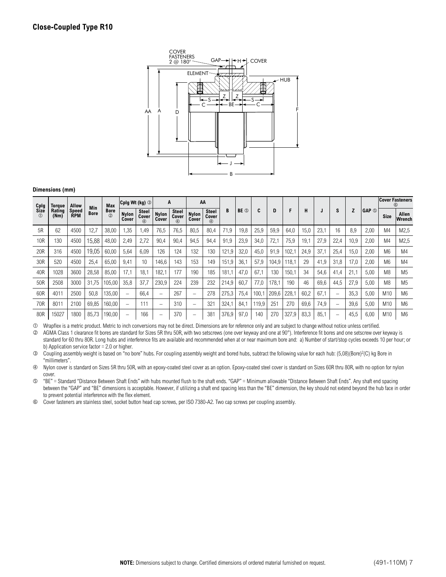

| Cplg                   | Torque         | Allow               |                    | <b>Max</b>                   | Cplg Wt (kg) 3           |                       | A                        |                                      | AA                       |                                      |       |                 |       |       |       |      |      |      |      |              |                 | <b>Cover Fasteners</b><br>6 |
|------------------------|----------------|---------------------|--------------------|------------------------------|--------------------------|-----------------------|--------------------------|--------------------------------------|--------------------------|--------------------------------------|-------|-----------------|-------|-------|-------|------|------|------|------|--------------|-----------------|-----------------------------|
| <b>Size</b><br>$\circ$ | Rating<br>(Nm) | Speed<br><b>RPM</b> | Min<br><b>Bore</b> | <b>Bore</b><br>$\circled{2}$ | <b>Nylon</b><br>Cover    | Steel<br>Cover<br>(4) | <b>Nylon</b><br>Cover    | <b>Steel</b><br>Cover<br>$\circledA$ | <b>Nylon</b><br>Cover    | <b>Steel</b><br>Cover<br>$\circledA$ | B     | BE <sup>O</sup> | C     | D     | F     | н    |      | s    |      | <b>GAP</b> © | <b>Size</b>     | Allen<br>Wrench             |
| 5R                     | 62             | 4500                | 12,7               | 38,00                        | 1,35                     | <b>.49</b>            | 76,5                     | 76,5                                 | 80,5                     | 80,4                                 | 71,9  | 19,8            | 25,9  | 59,9  | 64,0  | 15,0 | 23.1 | 16   | 8.9  | 2,00         | M <sub>4</sub>  | M2,5                        |
| 10 <sub>R</sub>        | 130            | 4500                | 15,88              | 48,00                        | 2,49                     | 2,72                  | 90,4                     | 90,4                                 | 94,5                     | 94,4                                 | 91,9  | 23,9            | 34,0  | 72,1  | 75,9  | 19,1 | 27,9 | 22,4 | 10,9 | 2,00         | M4              | M2,5                        |
| 20R                    | 316            | 4500                | 19,05              | 60,00                        | 5,64                     | 6,09                  | 126                      | 124                                  | 132                      | 130                                  | 121,9 | 32,0            | 45,0  | 91.9  | 102,1 | 24,9 | 37,1 | 25,4 | 15,0 | 2,00         | M <sub>6</sub>  | M4                          |
| 30R                    | 520            | 4500                | 25,4               | 65,00                        | 9,41                     | 10                    | 146,6                    | 143                                  | 153                      | 149                                  | 151,9 | 36,1            | 57,9  | 104.9 | 118,1 | 29   | 41,9 | 31,8 | 17,0 | 2,00         | M <sub>6</sub>  | M4                          |
| 40R                    | 1028           | 3600                | 28,58              | 85,00                        | 17,1                     | 18.1                  | 182,1                    | 177                                  | 190                      | 185                                  | 181.1 | 47,0            | 67,1  | 130   | 150,1 | 34   | 54,6 | 41,4 | 21,1 | 5,00         | M <sub>8</sub>  | M <sub>5</sub>              |
| 50R                    | 2508           | 3000                | 31,75              | 105,00                       | 35,8                     | 37,7                  | 230,9                    | 224                                  | 239                      | 232                                  | 214,9 | 60,7            | 77,0  | 178,1 | 190   | 46   | 69,6 | 44,5 | 27,9 | 5,00         | M <sub>8</sub>  | M <sub>5</sub>              |
| 60R                    | 401'           | 2500                | 50,8               | 135,00                       | $\overline{\phantom{0}}$ | 66,4                  | $\overline{\phantom{0}}$ | 267                                  | $\overline{\phantom{0}}$ | 278                                  | 275,3 | 75,4            | 100.7 | 209,6 | 228,1 | 60,2 | 67,1 |      | 35,3 | 5,00         | M10             | M <sub>6</sub>              |
| 70R                    | $801 -$        | 2100                | 69,85              | 160,00                       | $\overline{\phantom{0}}$ | 111                   | -                        | 310                                  |                          | 321                                  | 324,1 | 84,1            | 119,9 | 251   | 270   | 69,6 | 74,9 |      | 39,6 | 5,00         | M <sub>10</sub> | M <sub>6</sub>              |
| 80R                    | 15027          | 1800                | 85,73              | 190,00                       | -                        | 166                   | -                        | 370                                  |                          | 381                                  | 376,9 | 97,0            | 140   | 270   | 327,9 | 83,3 | 85.7 |      | 45,5 | 6,00         | M <sub>10</sub> | M <sub>6</sub>              |

Wrapflex is a metric product. Metric to inch conversions may not be direct. Dimensions are for reference only and are subject to change without notice unless certified.

 $\oslash$  AGMA Class 1 clearance fit bores are standard for Sizes 5R thru 50R, with two setscrews (one over keyway and one at 90°). Interference fit bores and one setscrew over keyway is standard for 60 thru 80R. Long hubs and interference fits are available and recommended when at or near maximum bore and: a) Number of start/stop cycles exceeds 10 per hour; or b) Application service factor = 2.0 or higher.

 Coupling assembly weight is based on "no bore" hubs. For coupling assembly weight and bored hubs, subtract the following value for each hub: (5,08)(Bore)2(C) kg Bore in "millimeters".

 Nylon cover is standard on Sizes 5R thru 50R, with an epoxy-coated steel cover as an option. Epoxy-coated steel cover is standard on Sizes 60R thru 80R, with no option for nylon cover.

 "BE" = Standard "Distance Between Shaft Ends" with hubs mounted flush to the shaft ends. "GAP" = Minimum allowable "Distance Between Shaft Ends". Any shaft end spacing between the "GAP" and "BE" dimensions is acceptable. However, if utilizing a shaft end spacing less than the "BE" dimension, the key should not extend beyond the hub face in order to prevent potential interference with the flex element.

Cover fasteners are stainless steel, socket button head cap screws, per ISO 7380-A2. Two cap screws per coupling assembly.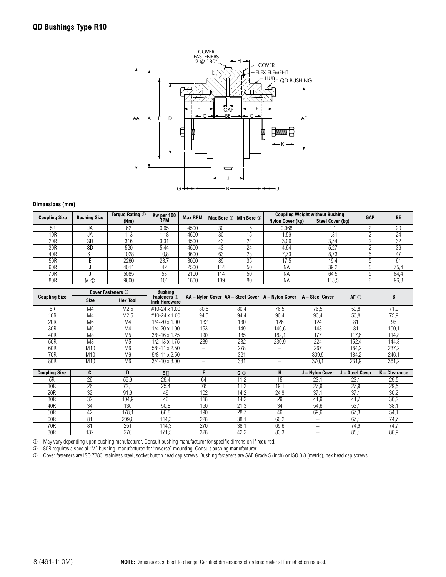

|                 | <b>Bushing Size</b><br><b>Coupling Size</b> | Torque Rating 1 | Kw per 100      | <b>Max RPM</b> | Max Bore $\mathbb O$   Min Bore $\mathbb O$ |    |                  | <b>Coupling Weight without Bushing</b> | <b>GAP</b> | BE   |
|-----------------|---------------------------------------------|-----------------|-----------------|----------------|---------------------------------------------|----|------------------|----------------------------------------|------------|------|
|                 |                                             | (Nm)            | <b>RPM</b>      |                |                                             |    | Nylon Cover (kg) | <b>Steel Cover (kg)</b>                |            |      |
| 5R              | JA                                          | 62              | 0,65            | 4500           | 30                                          | 15 | 0,968            |                                        |            | 20   |
| 10 <sub>R</sub> | JA                                          | 113             | . 18            | 4500           | 30                                          | 15 | .59              | .81                                    |            | 24   |
| 20R             | <b>SD</b>                                   | 316             | $3.3^{\circ}$   | 4500           | 43                                          | 24 | 3,06             | 3,54                                   |            | 32   |
| 30R             | <b>SD</b>                                   | 520             | 5.44            | 4500           | 43                                          | 24 | 4,64             | 5,27                                   |            | 36   |
| 40R             | <b>QF</b>                                   | 1028            | 10,8            | 3600           | 63                                          | 28 | 7.73             | 8,73                                   |            | 47   |
| 50R             |                                             | 2260            | 23.             | 3000           | 89                                          | 35 | 17,5             | 19,4                                   |            | 61   |
| 60R             |                                             | 4011            | 42              | 2500           | 114                                         | 50 | <b>NA</b>        | 39,2                                   |            | 75,4 |
| 70R             |                                             | 5085            | 53              | 2100           | 114                                         | 50 | <b>NA</b>        | 64,5                                   |            | 84,4 |
| 80R             | M ②                                         | 9600            | 10 <sup>1</sup> | 1800           | 139                                         | 80 | <b>NA</b>        | 115,5                                  |            | 96,8 |

|                      |                 | <b>Cover Fasteners 3</b> | <b>Bushing</b>                             |                                                       |                |                          |                 |                 |               |
|----------------------|-----------------|--------------------------|--------------------------------------------|-------------------------------------------------------|----------------|--------------------------|-----------------|-----------------|---------------|
| <b>Coupling Size</b> | <b>Size</b>     | <b>Hex Tool</b>          | <b>Fasteners</b> 3<br><b>Inch Hardware</b> | AA - Nylon Cover   AA - Steel Cover   A - Nylon Cover |                |                          | A - Steel Cover | $AF$ $\odot$    | В             |
| 5R                   | M <sub>4</sub>  | M2,5                     | #10-24 x 1.00                              | 80,5                                                  | 80,4           | 76,5                     | 76,5            | 50,8            | 71,9          |
| <b>10R</b>           | M <sub>4</sub>  | M2,5                     | #10-24 x 1.00                              | 94,5                                                  | 94,4           | 90,4                     | 90,4            | 50,8            | 75,9          |
| 20R                  | M <sub>6</sub>  | M4                       | $1/4 - 20 \times 1.00$                     | 132                                                   | 130            | 126                      | 124             | 81              | 96            |
| 30R                  | M <sub>6</sub>  | M4                       | $1/4 - 20 \times 1.00$                     | 153                                                   | 149            | 146,6                    | 143             | 81              | 100,1         |
| 40R                  | M <sub>8</sub>  | M <sub>5</sub>           | $3/8 - 16 \times 1.25$                     | 190                                                   | 185            | 182,1                    | 177             | 117,6           | 114,8         |
| 50R                  | M <sub>8</sub>  | M <sub>5</sub>           | 1/2-13 x 1.75                              | 239                                                   | 232            | 230,9                    | 224             | 152,4           | 144,8         |
| 60R                  | M10             | M <sub>6</sub>           | $5/8 - 11 \times 2.50$                     | $\qquad \qquad$                                       | 278            | $\overline{\phantom{0}}$ | 267             | 184,2           | 237,2         |
| 70R                  | M <sub>10</sub> | M <sub>6</sub>           | $5/8 - 11 \times 2.50$                     | $\qquad \qquad$                                       | 321            | $\overline{\phantom{0}}$ | 309,9           | 184,2           | 246,1         |
| 80R                  | M <sub>10</sub> | M <sub>6</sub>           | $3/4 - 10 \times 3.00$                     | $\qquad \qquad -$                                     | 381            | -                        | 370,1           | 231,9           | 361,2         |
|                      |                 |                          |                                            |                                                       |                |                          |                 |                 |               |
|                      |                 |                          |                                            |                                                       |                |                          |                 |                 |               |
| <b>Coupling Size</b> | C               | D                        | $E \Box$                                   | F                                                     | G <sup>①</sup> | н                        | J - Nylon Cover | J - Steel Cover | K - Clearance |
| 5R                   | 26              | 59,9                     | 25,4                                       | 64                                                    | 11,2           | 15                       | 23,1            | 23,1            | 29,5          |
| <b>10R</b>           | 26              | 72,1                     | 25,4                                       | 76                                                    | 11,2           | 19,1                     | 27,9            | 27,9            | 29,5          |
| 20R                  | 32              | 91,9                     | 46                                         | 102                                                   | 14,2           | 24,9                     | 37,1            | 37,1            | 30,2          |
| 30R                  | 32              | 104.9                    | 46                                         | 118                                                   | 14,2           | 29                       | 41,9            | 41,7            | 30,2          |
| 40R                  | 34              | 130                      | 50,8                                       | 150                                                   | 21,3           | 34                       | 54,6            | 53,1            | 38,1          |
| 50R                  | 42              | 178,1                    | 66,8                                       | 190                                                   | 28,7           | 46                       | 69,6            | 67,3            | 54,1          |
| 60R                  | 81              | 209,6                    | 114,3                                      | 228                                                   | 38,1           | 60,2                     |                 | 67,1            | 74,7          |
| 70R                  | 81              | 251                      | 114,3                                      | 270                                                   | 38,1           | 69,6                     | -               | 74,9            | 74,7          |

May vary depending upon bushing manufacturer. Consult bushing manufacturer for specific dimension if required..

80R requires a special "M" bushing, manufactured for "reverse" mounting. Consult bushing manufacturer.

Cover fasteners are ISO 7380, stainless steel, socket button head cap screws. Bushing fasteners are SAE Grade 5 (inch) or ISO 8.8 (metric), hex head cap screws.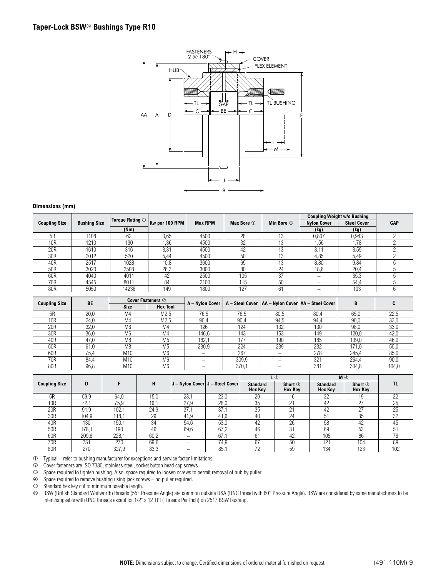

|                      |                     | <b>Torque Rating 1</b> |                |                |            |                      |                          | <b>Coupling Weight w/o Bushing</b> |            |
|----------------------|---------------------|------------------------|----------------|----------------|------------|----------------------|--------------------------|------------------------------------|------------|
| <b>Coupling Size</b> | <b>Bushing Size</b> |                        | Kw per 100 RPM | <b>Max RPM</b> | Max Bore 1 | Min Bore $\mathbb O$ | <b>Nylon Cover</b>       | <b>Steel Cover</b>                 | <b>GAP</b> |
|                      |                     | (Nm)                   |                |                |            |                      | (kg)                     | (kg)                               |            |
| 5R                   | 1108                | 62                     | 0,65           | 4500           | 28         | 13                   | 0,807                    | 0,943                              |            |
| 10R                  | 1210                | 130                    | 1,36           | 4500           | 32         | 13                   | 1,56                     | 1,78                               |            |
| 20 <sub>R</sub>      | 1610                | 316                    | 3,31           | 4500           | 42         | 13                   | 3,11                     | 3,59                               |            |
| 30R                  | 2012                | 520                    | 5,44           | 4500           | 50         | 13                   | 4,85                     | 5,49                               |            |
| 40R                  | 2517                | 1028                   | 10,8           | 3600           | 65         | 13                   | 8,80                     | 9,84                               |            |
| 50R                  | 3020                | 2508                   | 26,3           | 3000           | 80         | 24                   | 18.6                     | 20,4                               |            |
| 60R                  | 4040                | 4011                   | 42             | 2500           | 105        | 37                   | $\overline{\phantom{0}}$ | 35,3                               |            |
| 70R                  | 4545                | 8011                   | 84             | 2100           | 115        | 50                   | -                        | 54.4                               |            |
| 80R                  | 5050                | 14236                  | 149            | 1800           | 127        | 61                   | -                        | 103                                |            |

| <b>Coupling Size</b> | <b>BE</b> |                 | <b>Cover Fasteners 2</b> | A - Nylon Cover |       | A - Steel Cover   AA - Nylon Cover   AA - Steel Cover |      | B     |       |
|----------------------|-----------|-----------------|--------------------------|-----------------|-------|-------------------------------------------------------|------|-------|-------|
|                      |           | <b>Size</b>     | <b>Hex Tool</b>          |                 |       |                                                       |      |       |       |
| 5R                   | 20,0      | M <sub>4</sub>  | M <sub>2</sub> ,5        | 76.5            | 76,5  | 80,5                                                  | 80,4 | 65,0  | 22,5  |
| 10R                  | 24.0      | M <sub>4</sub>  | M <sub>2.5</sub>         | 90.4            | 90,4  | 94,5                                                  | 94,4 | 90,0  | 33,0  |
| 20 <sub>R</sub>      | 32.0      | M <sub>6</sub>  | M4                       | 126             | 124   | 132                                                   | 130  | 98,0  | 33,0  |
| 30R                  | 36,0      | M <sub>6</sub>  | M4                       | 146.6           | 143   | 153                                                   | 149  | 120,0 | 42,0  |
| 40R                  | 47.0      | M <sub>8</sub>  | M <sub>5</sub>           | 182.1           | 177   | 190                                                   | 185  | 139,0 | 46,0  |
| 50R                  | 61.0      | M8              | M <sub>5</sub>           | 230,9           | 224   | 239                                                   | 232  | 171,0 | 55,0  |
| 60R                  | 75.4      | M10             | M <sub>6</sub>           | -               | 267   |                                                       | 278  | 245,4 | 85,0  |
| 70R                  | 84.4      | M <sub>10</sub> | M <sub>6</sub>           | -               | 309,9 |                                                       | 321  | 264.4 | 90,0  |
| 80R                  | 96,8      | M <sub>10</sub> | M6                       | -               | 370.7 | -                                                     | 381  | 304,8 | 104,0 |

|                      |       |       |      |      |                                   | L ③                               |                                  |                                   | $M$ $\circledcirc$               |     |
|----------------------|-------|-------|------|------|-----------------------------------|-----------------------------------|----------------------------------|-----------------------------------|----------------------------------|-----|
| <b>Coupling Size</b> | D     |       | н    |      | J - Nylon Cover   J - Steel Cover | <b>Standard</b><br><b>Hex Key</b> | Short <b>S</b><br><b>Hex Key</b> | <b>Standard</b><br><b>Hex Key</b> | Short <b>O</b><br><b>Hex Key</b> | TL  |
| 5R                   | 59.9  | 64.0  | 15.0 | 23.7 | 23.0                              | 29                                | 16                               | 32                                | 19                               | 22  |
| 10R                  | 72.   | 75,9  | 19.7 | 27,9 | 28,0                              | 35                                | $\sim$                           | 42                                | 27                               | 25  |
| 20 <sub>R</sub>      | 91.9  | 102.1 | 24.9 | 37.7 | 37.                               | 35                                | $\bigcap$                        | 42                                | $\sim$                           | 25  |
| 30R                  | 104,9 | 118.1 | 29   | 41.9 | 41.6                              | 40                                | 24                               | 51                                | 35                               | 32  |
| 40R                  | 130   | 150,1 | 34   | 54,6 | 53,0                              | 42                                | 26                               | 58                                | 42                               | 45  |
| 50R                  | 178,1 | 190   | 46   | 69,6 | 67,2                              | 46                                | 31                               | 69                                | 53                               | 51  |
| 60R                  | 209,6 | 228.7 | 60,2 |      | 67.                               | 61                                | 42                               | 105                               | 86                               | 76  |
| 70R                  | 251   | 270   | 69,6 | —    | 74.9                              | 67                                | 50                               | $12^{7}$                          | 104                              | 89  |
| 80R                  | 270   | 327,9 | 83,3 | –    | 85,                               | 72                                | 59                               | 134                               | 123                              | 102 |

Typical – refer to bushing manufacturer for exceptions and service factor limitations.

Cover fasteners are ISO 7380, stainless steel, socket button head cap screws.

Space required to tighten bushing. Also, space required to loosen screws to permit removal of hub by puller.

Space required to remove bushing using jack screws – no puller required.

S Standard hex key cut to minimum useable length.<br> **6** BSW (British Standard Whitworth) threads (55° P

BSW (British Standard Whitworth) threads (55° Pressure Angle) are common outside USA (UNC thread with 60° Pressure Angle). BSW are considered by same manufacturers to be interchangeable with UNC threads except for 1/2" x 12 TPI (Threads Per Inch) on 2517 BSW bushing.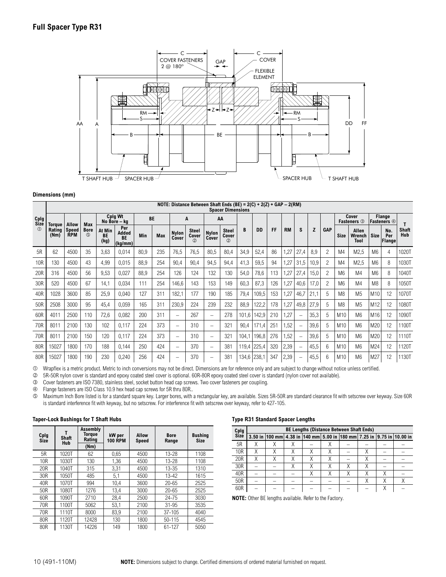

### **NOTE: Distance Between Shaft Ends (BE) = 2(C) + 2(Z) + GAP – 2(RM) Spacer Dimensions**

|                 | Spacer Dimensions |                     |                    |                      |                                      |      |            |                          |                              |                       |                                        |             |           |     |           |      |      |                |                 |                             |                 |                       |                            |
|-----------------|-------------------|---------------------|--------------------|----------------------|--------------------------------------|------|------------|--------------------------|------------------------------|-----------------------|----------------------------------------|-------------|-----------|-----|-----------|------|------|----------------|-----------------|-----------------------------|-----------------|-----------------------|----------------------------|
| Cplg<br>Size    | <b>Torque</b>     | <b>Allow</b>        | Max                |                      | Cplg Wt<br>No Bore - ka              |      | <b>BE</b>  |                          | A                            |                       | AA                                     |             |           |     |           |      |      |                |                 | Cover<br><b>Fasteners</b> 3 |                 | Flange<br>Fasteners 4 |                            |
| (1)             | Rating<br>(Nm)    | Speed<br><b>RPM</b> | <b>Bore</b><br>(5) | At Min<br>BE<br>(kg) | Per<br>Added<br><b>BE</b><br>(kg/mm) | Min  | <b>Max</b> | <b>Nylon</b><br>Cover    | <b>Steel</b><br>Cover<br>(2) | <b>Nylon</b><br>Cover | <b>Steel</b><br>Cover<br>$\circled{2}$ | B           | <b>DD</b> | FF  | <b>RM</b> | S    | Z    | <b>GAP</b>     | <b>Size</b>     | Allen<br>Wrench<br>Tool     | <b>Size</b>     | No.<br>Per<br>Flange  | <b>Shaft</b><br><b>Hub</b> |
| 5R              | 62                | 4500                | 35                 | 3,63                 | 0,014                                | 80,9 | 235        | 76,5                     | 76,5                         | 80,5                  | 80,4                                   | 34,9        | 52,4      | 86  | 1,27      | 27,4 | 8,9  | 2              | M <sub>4</sub>  | M2,5                        | M6              | 4                     | 1020T                      |
| 10 <sub>R</sub> | 130               | 4500                | 43                 | 4,99                 | 0,015                                | 88,9 | 254        | 90,4                     | 90,4                         | 94,5                  | 94,4                                   | 41,3        | 59,5      | 94  | 1,27      | 31,5 | 10,9 | 2              | M <sub>4</sub>  | M2,5                        | M <sub>6</sub>  | 8                     | 1030T                      |
| 20 <sub>R</sub> | 316               | 4500                | 56                 | 9,53                 | 0,027                                | 88,9 | 254        | 126                      | 124                          | 132                   | 130                                    | 54,0        | 78,6      | 113 | .27       | 27,4 | 15,0 | 2              | M <sub>6</sub>  | M <sub>4</sub>              | M <sub>6</sub>  | 8                     | 1040T                      |
| 30R             | 520               | 4500                | 67                 | 14,1                 | 0,034                                | 111  | 254        | 146,6                    | 143                          | 153                   | 149                                    | 60,3        | 87,3      | 126 | 1,27      | 40,6 | 17,0 | $\overline{c}$ | M <sub>6</sub>  | M4                          | M <sub>8</sub>  | 8                     | 1050T                      |
| 40R             | 1028              | 3600                | 85                 | 25,9                 | 0,040                                | 127  | 311        | 182,1                    | 177                          | 190                   | 185                                    | 79,4        | 109,5     | 153 | .27       | 46.7 | 21,1 | 5              | M <sub>8</sub>  | M <sub>5</sub>              | M <sub>10</sub> | 12                    | 1070T                      |
| 50R             | 2508              | 3000                | 95                 | 45,4                 | 0,059                                | 165  | 311        | 230,9                    | 224                          | 239                   | 232                                    | 88,9        | 122,2     | 178 | 1,27      | 49,8 | 27,9 | 5              | M <sub>8</sub>  | M <sub>5</sub>              | M12             | 12                    | 1080T                      |
| 60R             | 4011              | 2500                | 110                | 72,6                 | 0,082                                | 200  | 311        | $\overline{\phantom{m}}$ | 267                          | $\qquad \qquad$       | 278                                    | 101,6       | 142,9     | 210 | 1,27      |      | 35,3 | 5              | M10             | M <sub>6</sub>              | M16             | 12                    | 1090T                      |
| 70 <sub>R</sub> | 8011              | 2100                | 130                | 102                  | 0,117                                | 224  | 373        | $\overline{\phantom{m}}$ | 310                          | -                     | 321                                    | 90,4        | 171.4     | 251 | .52       |      | 39,6 | 5              | M10             | M <sub>6</sub>              | M20             | 12                    | 1100T                      |
| 70 <sub>R</sub> | 8011              | 2100                | 150                | 120                  | 0,117                                | 224  | 373        | $\qquad \qquad$          | 310                          | $\qquad \qquad$       | 321                                    | 104,1       | 196,8     | 276 | ,52       |      | 39,6 | 5              | M10             | M <sub>6</sub>              | M20             | 12                    | 1110T                      |
| 80R             | 15027             | 1800                | 170                | 188                  | 0,144                                | 250  | 424        | $\overline{\phantom{m}}$ | 370                          | $\qquad \qquad =$     | 381                                    | 119,4       | 225,4     | 320 | 2,39      |      | 45,5 | 6              | M <sub>10</sub> | M <sub>6</sub>              | M24             | 12                    | 1120T                      |
| 80R             | 15027             | 1800                | 190                | 230                  | 0,240                                | 256  | 424        | $\qquad \qquad$          | 370                          |                       | 381                                    | 134,6 238,1 |           | 347 | 2,39      |      | 45,5 | հ              | M10             | M <sub>6</sub>              | M27             | 12                    | 1130T                      |

Wrapflex is a metric product. Metric to inch conversions may not be direct. Dimensions are for reference only and are subject to change without notice unless certified.

5R-50R nylon cover is standard and epoxy coated steel cover is optional. 60R-80R epoxy coated steel cover is standard (nylon cover not available).

Cover fasteners are ISO 7380, stainless steel, socket button head cap screws. Two cover fasteners per coupling.

Flange fasteners are ISO Class 10.9 hex head cap screws for 5R thru 80R..

 Maximum Inch Bore listed is for a standard square key. Larger bores, with a rectangular key, are available. Sizes 5R-50R are standard clearance fit with setscrew over keyway. Size 60R is standard interference fit with keyway, but no setscrew. For interference fit with setscrew over keyway, refer to 427-105.

#### **Taper-Lock Bushings for T Shaft Hubs**

| Cplg<br>Size    | <b>Shaft</b><br><b>Hub</b> | Assembly<br>Torque<br>Rating | kW per<br>100 RPM | <b>Allow</b><br><b>Speed</b> | <b>Bore</b><br>Range | <b>Bushing</b><br><b>Size</b> |
|-----------------|----------------------------|------------------------------|-------------------|------------------------------|----------------------|-------------------------------|
|                 |                            | (Nm)                         |                   |                              |                      |                               |
| 5R              | 1020T                      | 62                           | 0.65              | 4500                         | 13-28                | 1108                          |
| 10R             | 1030T                      | 130                          | 1,36              | 4500                         | 13-28                | 1108                          |
| 20R             | 1040T                      | 315                          | 3,31              | 4500                         | $13 - 35$            | 1310                          |
| 30R             | 1050T                      | 485                          | 5,1               | 4500                         | $13 - 42$            | 1615                          |
| 40R             | 1070T                      | 994                          | 10,4              | 3600                         | $20 - 65$            | 2525                          |
| 50 <sub>R</sub> | 1080T                      | 1276                         | 13.4              | 3000                         | $20 - 65$            | 2525                          |
| 60R             | 1090T                      | 2710                         | 28.4              | 2500                         | 24-75                | 3030                          |
| 70R             | 1100T                      | 5062                         | 53,1              | 2100                         | $31 - 95$            | 3535                          |
| 70R             | 1110T                      | 8000                         | 83.9              | 2100                         | $37 - 105$           | 4040                          |
| 80R             | 1120T                      | 12428                        | 130               | 1800                         | $50 - 115$           | 4545                          |
| 80R             | 1130T                      | 14226                        | 149               | 1800                         | 61-127               | 5050                          |

#### **Type R31 Standard Spacer Lengths**

| Cplg            |   |  |  | <b>BE Lengths (Distance Between Shaft Ends)</b> |  |                                                                            |
|-----------------|---|--|--|-------------------------------------------------|--|----------------------------------------------------------------------------|
| <b>Size</b>     |   |  |  |                                                 |  | 3.50 in  100 mm 4.38 in  140 mm 5.00 in  180 mm 7.25 in  9.75 in  10.00 in |
| 5R              |   |  |  |                                                 |  |                                                                            |
| 10 <sub>R</sub> |   |  |  |                                                 |  |                                                                            |
| 20R             | Χ |  |  |                                                 |  |                                                                            |
| 30R             |   |  |  |                                                 |  |                                                                            |
| 40R             |   |  |  |                                                 |  |                                                                            |
| 50R             |   |  |  |                                                 |  |                                                                            |
| 60 <sub>R</sub> |   |  |  |                                                 |  |                                                                            |

**NOTE:** Other BE lengths available. Refer to the Factory.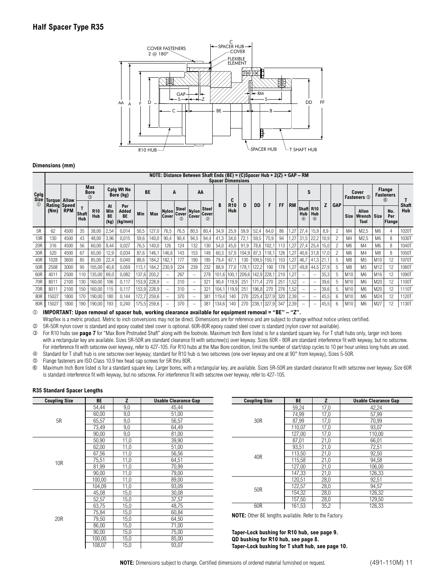

⊤

#### **NOTE: Distance Between Shaft Ends (BE) = (C)Spacer Hub + 2(Z) + GAP – RM**

|     | Spacer Dimensions         |            |                     |                           |                                |                                       |       |           |                          |                                       |                      |                                |       |                          |                 |       |       |     |           |                                   |                          |      |            |                |                                |                |                                   |                     |
|-----|---------------------------|------------|---------------------|---------------------------|--------------------------------|---------------------------------------|-------|-----------|--------------------------|---------------------------------------|----------------------|--------------------------------|-------|--------------------------|-----------------|-------|-------|-----|-----------|-----------------------------------|--------------------------|------|------------|----------------|--------------------------------|----------------|-----------------------------------|---------------------|
|     | Cplg<br>Size Torque Allow |            |                     | Max<br><b>Bore</b><br>(3) |                                | Cplg Wt No<br>Bore (kg)               |       | <b>BE</b> | A                        |                                       | AA                   |                                |       | C                        |                 |       |       |     |           | S                                 |                          |      |            |                | Cover<br><b>Fasteners</b> 5    |                | Flange<br><b>Fasteners</b><br>$6$ |                     |
|     | Rating Speed<br>(Nm)      | <b>RPM</b> | <b>Shaft</b><br>Hub | <b>R10</b><br>Hub         | At<br>Min<br><b>BE</b><br>(kg) | Per<br>Added<br><b>BE</b><br> (kg/mm) | Min   | Max       | Cover                    | Steel<br>Nylon Cover<br>$\circled{2}$ | Nylon Cover<br>Cover | <b>Steel</b><br>$^{\circledR}$ |       | <b>R10</b><br><b>Hub</b> | D               | DD    | F     | FF  | <b>RM</b> | Shaft R10<br>Hub<br>$\circled{4}$ | Hub<br>$\circledA$       | Z    | <b>GAP</b> | Size           | Allen<br><b>Wrench</b><br>Tool | Size           | No.<br>Per<br>Flange              | <b>Shaft</b><br>Hub |
| 5R  | 62                        | 4500       | 35                  | 38,00                     | 2,54                           | 0,014                                 | 50,5  | 127,0     | 76,5                     | 76,5                                  | 80,5                 | 80,4                           | 34,9  | 25,9                     | 59,9            | 52,4  | 64,0  | 86  | .27       | 27,4                              | 15,9                     | 8,9  |            | M4             | M2,5                           | M6             | 4                                 | 1020T               |
| 10R | 130                       | 4500       | 43                  | 48,00                     | 3,96                           | 0,015                                 | 59,6  | 140,0     | 90,4                     | 90,4                                  | 94,5                 | 94,4                           | 41,3  | 34,0                     | 72,1            | 59,5  | 75,9  | 94  | 1,27      | 31,5                              | 22,2                     | 10,9 |            | M4             | M2,5                           | M <sub>6</sub> | 8                                 | 1030T               |
| 20R | 316                       | 4500       | 56                  | 60,00                     | 8,44                           | 0,027                                 | 76,5  | 140,0     | 126                      | 124                                   | 132                  | 130                            | 54,0  | 45,0                     | 91,9            | 78,6  | 102,1 | 113 | ,27       | 27,4                              | 25,4                     | 15,0 |            | M <sub>6</sub> | M <sub>4</sub>                 | M <sub>6</sub> | 8                                 | 1040T               |
| 30R | 520                       | 4500       | 67                  | 65,00                     | 12,9                           | 0,034                                 | 87,6  | 146,1     | 146,6                    | 143                                   | 153                  | 149                            | 60,3  | 57,9                     | 104,9           | 87,3  | 118,1 | 126 | 1,27      | $40,6$ 31,8                       |                          | 17,0 |            | M <sub>6</sub> | M <sub>4</sub>                 | M <sub>8</sub> | 8                                 | 1050T               |
| 40R | 1028                      | 3600       | 85                  | 85,00                     | 22,4                           | 0,040                                 | 88,6  | 184,2     | 182,1                    | 177                                   | 190                  | 185                            | 79,4  | 67,1                     | 130             | 109,5 | 150,1 | 153 | ,27       | 46,7                              | 41,3 21                  |      |            | M <sub>8</sub> | M <sub>5</sub>                 | M10            | 12                                | 1070T               |
| 50R | 2508                      | 3000       | 95                  | 105,00                    | 40,8                           | 0.059                                 | 113,1 | 184,2     | 230,9                    | 224                                   | 239                  | 232                            | 88.9  | 77,0                     | 178.1           | 122,2 | 190   | 178 | ,27       | 49,8                              | 44,5                     | 27,9 |            | M <sub>8</sub> | M <sub>5</sub>                 | M12            | 12                                | 1080T               |
| 60R | 4011                      | 2500       | 110                 | 135,00                    | 69,0                           | 0,082                                 | 137,6 | 203,2     | $\overline{\phantom{0}}$ | 267                                   |                      | 278                            | 101.6 | 100.1                    | 209.6           | 142,9 | 228.7 | 210 | 1,27      | $\overline{\phantom{a}}$          | $\overline{\phantom{m}}$ | 35,3 |            | M10            | M <sub>6</sub>                 | M16            | 12                                | 1090T               |
| 70R | 8011                      | 2100       | 130                 | 160,00                    | 106                            | 0.117                                 | 153,9 | 228,9     | $\overline{\phantom{m}}$ | 310                                   |                      | 321                            | 90,4  | 119,9                    | 251             | 171,4 | 270   | 251 | 1,52      | $\overline{\phantom{m}}$          | $\qquad \qquad -$        | 39,6 |            | M10            | M <sub>6</sub>                 | M20            | 12                                | 1100T               |
| 70R | 8011                      | 2100       | 150                 | 160,00                    | 115                            | 0,117                                 | 153,9 | 228,9     | $\overline{\phantom{a}}$ | 310                                   |                      | 321                            | 104.1 | 119,9                    | 25 <sup>1</sup> | 196,8 | 270   | 276 | 1,52      | $\overline{\phantom{m}}$          | $\qquad \qquad -$        | 39,6 |            | M10            | M <sub>6</sub>                 | M20            | 12                                | 1110T               |
| 80R | 15027                     | 1800       | 170                 | 190,00                    | 180                            | 0,144                                 | 172,7 | 259,6     | $\overline{\phantom{m}}$ | 370                                   |                      | 381                            | 119.4 | 140                      | 270             | 225,4 | 327,9 | 320 | 2,39      | $\overline{\phantom{a}}$          | $\overline{\phantom{m}}$ | 45,5 |            | M10            | M <sub>6</sub>                 | M24            | 12                                | 1120T               |
| 80R | 15027                     | 1800       | 190                 | 190,00                    | 193                            | 0,240                                 | 175,5 | 259,6     |                          | 370                                   |                      | 381                            | 134,6 | 140                      | 270             | 238,1 | 327,9 | 347 | 2,39      | $\overline{\phantom{m}}$          | $\overline{\phantom{m}}$ | 45,5 |            | M10            | M <sub>6</sub>                 | M27            | 12                                | 1130T               |

**IMPORTANT: Upon removal of spacer hub, working clearance available for equipment removal = "BE" – "Z".**

Wrapflex is a metric product. Metric to inch conversions may not be direct. Dimensions are for reference and are subject to change without notice unless certified.

5R-50R nylon cover is standard and epoxy coated steel cover is optional. 60R-80R epoxy coated steel cover is standard (nylon cover not available).

 For R10 hubs see **page 7** for "Max Bore Protruded Shaft" along with the footnote. Maximum Inch Bore listed is for a standard square key. For T shaft hubs only, larger inch bores with a rectangular key are available. Sizes 5R-50R are standard clearance fit with setscrew(s) over keyway. Sizes 60R - 80R are standard interference fit with keyway, but no setscrew. For interference fit with setscrew over keyway, refer to 427-105. For R10 hubs at the Max Bore condition, limit the number of start/stop cycles to 10 per hour unless long hubs are used.

Standard for T shaft hub is one setscrew over keyway; standard for R10 hub is two setscrews (one over keyway and one at 90° from keyway), Sizes 5-50R.

Flange fasteners are ISO Class 10.9 hex head cap screws for 5R thru 80R.

Å Maximum Inch Bore listed is for a standard square key. Larger bores, with a rectangular key, are available. Sizes 5R-50R are standard clearance fit with setscrew over keyway. Size 60R is standard interference fit with keyway, but no setscrew. For interference fit with setscrew over keyway, refer to 427-105.

#### **R35 Standard Spacer Lengths**

| <b>Coupling Size</b> | <b>BE</b> | Z    | <b>Usable Clearance Gap</b> | <b>Coupling Size</b>                                           | <b>BE</b> | z    | <b>Usable Clearance Gap</b> |
|----------------------|-----------|------|-----------------------------|----------------------------------------------------------------|-----------|------|-----------------------------|
|                      | 54,44     | 9,0  | 45,44                       |                                                                | 59,24     | 17,0 | 42,24                       |
|                      | 60,00     | 9,0  | 51,00                       |                                                                | 74,99     | 17,0 | 57,99                       |
| 5R                   | 65,57     | 9,0  | 56,57                       | 30R                                                            | 87,99     | 17,0 | 70,99                       |
|                      | 73,49     | 9,0  | 64,49                       |                                                                | 110,07    | 17,0 | 93,07                       |
|                      | 90,00     | 9,0  | 81,00                       |                                                                | 127,00    | 17,0 | 110,00                      |
|                      | 50,90     | 11,0 | 39,90                       |                                                                | 87,01     | 21,0 | 66,01                       |
|                      | 62,00     | 11,0 | 51,00                       |                                                                | 93,51     | 21,0 | 72,51                       |
|                      | 67,56     | 11,0 | 56,56                       | 40R                                                            | 113,50    | 21,0 | 92,50                       |
| <b>10R</b>           | 75,51     | 11,0 | 64,51                       |                                                                | 115,58    | 21,0 | 94,58                       |
|                      | 81,99     | 11,0 | 70,99                       |                                                                | 127,00    | 21,0 | 106,00                      |
|                      | 90,00     | 11,0 | 79,00                       |                                                                | 147,33    | 21,0 | 126,33                      |
|                      | 100,00    | 11,0 | 89,00                       |                                                                | 120,51    | 28,0 | 92,51                       |
|                      | 104,09    | 11,0 | 93,09                       | 50R                                                            | 122,57    | 28,0 | 94,57                       |
|                      | 45,08     | 15,0 | 30,08                       |                                                                | 154,32    | 28,0 | 126,32                      |
|                      | 52,57     | 15,0 | 37,57                       |                                                                | 157,50    | 28,0 | 129,50                      |
|                      | 63,75     | 15,0 | 48,75                       | 60R                                                            | 161,53    | 35,2 | 126,33                      |
|                      | 75,84     | 15,0 | 60,84                       | <b>NOTE:</b> Other BE lengths available. Refer to the Factory. |           |      |                             |
| 20R                  | 79,50     | 15,0 | 64,50                       |                                                                |           |      |                             |
|                      | 86,00     | 15,0 | 71,00                       |                                                                |           |      |                             |
|                      | 90,00     | 15,0 | 75,00                       | Taper-Lock bushing for R10 hub, see page 9.                    |           |      |                             |
|                      | 100,00    | 15,0 | 85,00                       | QD bushing for R10 hub, see page 8.                            |           |      |                             |
|                      | 108,07    | 15,0 | 93,07                       | Taper-Lock bushing for T shaft hub. see page 10.               |           |      |                             |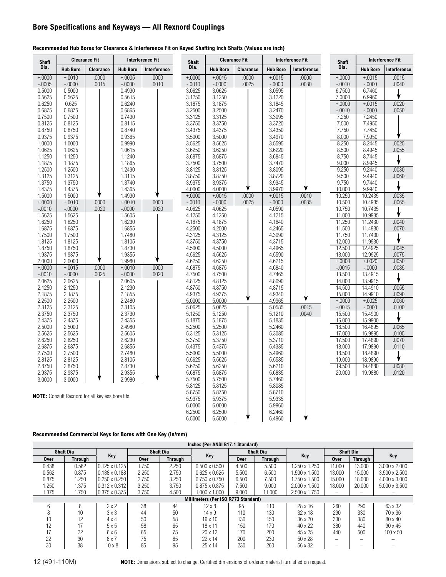### **Bore Specifications and Keyways — All Rexnord Couplings**

### **Recommended Hub Bores for Clearance & Interference Fit on Keyed Shafting Inch Shafts (Values are inch)**

| <b>Shaft</b>       |                    | <b>Clearance Fit</b>                                    |                    | <b>Interference Fit</b> | Shaft            |                  | <b>Clearance Fit</b> |                  | <b>Interference Fit</b> | Shaft            |                    | <b>Interference Fit</b> |
|--------------------|--------------------|---------------------------------------------------------|--------------------|-------------------------|------------------|------------------|----------------------|------------------|-------------------------|------------------|--------------------|-------------------------|
| Dia.               | <b>Hub Bore</b>    | <b>Clearance</b>                                        | <b>Hub Bore</b>    | Interference            | Dia.             | <b>Hub Bore</b>  | <b>Clearance</b>     | <b>Hub Bore</b>  | Interference            | Dia.             | <b>Hub Bore</b>    | Interference            |
| $+.0000$           | $+.0010$           | .0000                                                   | $+.0005$           | .0000                   | $+.0000 +$       | $+.0015$         | .0000                | $+.0015$         | .0000                   | $+.0000$         | $+.0015$           | .0015                   |
| $-.0005$           | $-.0000$           | .0015                                                   | $-.0000$           | .0010                   | $-.0010$         | $-.0000$         | .0025                | $-.0000$         | .0030                   | $-.0010$         | $-.0000$           | .0040                   |
| 0.5000             | 0.5000             |                                                         | 0.4990             |                         | 3.0625           | 3.0625           |                      | 3.0595           |                         | 6.7500           | 6.7460             |                         |
| 0.5625             | 0.5625             |                                                         | 0.5615             |                         | 3.1250           | 3.1250           |                      | 3.1220           |                         | 7.0000           | 6.9960             |                         |
| 0.6250             | 0.625              |                                                         | 0.6240             |                         | 3.1875           | 3.1875           |                      | 3.1845           |                         | $+.0000 +$       | $+.0015$           | .0020                   |
| 0.6875             | 0.6875             |                                                         | 0.6865             |                         | 3.2500           | 3.2500           |                      | 3.2470           |                         | $-.0010$         | $-.0000$           | .0050                   |
| 0.7500             | 0.7500             |                                                         | 0.7490             |                         | 3.3125           | 3.3125           |                      | 3.3095<br>3.3720 |                         | 7.250            | 7.2450             |                         |
| 0.8125<br>0.8750   | 0.8125<br>0.8750   |                                                         | 0.8115<br>0.8740   |                         | 3.3750<br>3.4375 | 3.3750<br>3.4375 |                      | 3.4350           |                         | 7.500<br>7.750   | 7.4950<br>7.7450   |                         |
| 0.9375             | 0.9375             |                                                         | 0.9365             |                         | 3.5000           | 3.5000           |                      | 3.4970           |                         | 8.000            | 7.9950             |                         |
| 1.0000             | 1.0000             |                                                         | 0.9990             |                         | 3.5625           | 3.5625           |                      | 3.5595           |                         | 8.250            | 8.2445             | .0025                   |
| 1.0625             | 1.0625             |                                                         | 1.0615             |                         | 3.6250           | 3.6250           |                      | 3.6220           |                         | 8.500            | 8.4945             | .0055                   |
| 1.1250             | 1.1250             |                                                         | 1.1240             |                         | 3.6875           | 3.6875           |                      | 3.6845           |                         | 8.750            | 8.7445             |                         |
| 1.1875             | 1.1875             |                                                         | 1.1865             |                         | 3.7500           | 3.7500           |                      | 3.7470           |                         | 9.000            | 8.9945             | ↓                       |
| 1.2500             | 1.2500             |                                                         | 1.2490             |                         | 3.8125           | 3.8125           |                      | 3.8095           |                         | 9.250            | 9.2440             | .0030                   |
| 1.3125             | 1.3125             |                                                         | 1.3115             |                         | 3.8750           | 3.8750           |                      | 3.8720           |                         | 9.500            | 9.4940             | .0060                   |
| 1.3750             | 1.3750             |                                                         | 1.3740             |                         | 3.9375           | 3.9375           |                      | 3.9345           |                         | 9.750            | 9.7440             |                         |
| 1.4375             | 1.4375             |                                                         | 1.4365             |                         | 4.0000           | 4.0000           |                      | 3.9970           |                         | 10.000           | 9.9940             | ♦                       |
| 1.5000             | 1.5000             |                                                         | 1.4990             |                         | $+.0000 +$       | $+.0015$         | .0000                | $+.0015$         | .0010                   | 10.250           | 10.2435            | .0035                   |
| $+.0000 +$         | $+.0010$           | .0000                                                   | $+.0010$           | .0000                   | $-.0010$         | $-.0000$         | .0025                | $-.0000$         | .0035                   | 10.500           | 10.4935            | .0065                   |
| $-.0010$           | $-.0000$           | .0020                                                   | $-.0000$           | .0020                   | 4.0625           | 4.0625           |                      | 4.0590           |                         | 10.750           | 10.7435            |                         |
| 1.5625             | 1.5625             |                                                         | 1.5605             |                         | 4.1250           | 4.1250           |                      | 4.1215           |                         | 11.000           | 10.9935            |                         |
| 1.6250             | 1.6250             |                                                         | 1.6230             |                         | 4.1875           | 4.1875           |                      | 4.1840           |                         | 11.250           | 11.2430            | .0040                   |
| 1.6875             | 1.6875             |                                                         | 1.6855             |                         | 4.2500           | 4.2500           |                      | 4.2465           |                         | 11.500           | 11.4930            | .0070                   |
| 1.7500             | 1.7500             |                                                         | 1.7480             |                         | 4.3125           | 4.3125           |                      | 4.3090           |                         | 11.750           | 11.7430            |                         |
| 1.8125             | 1.8125             |                                                         | 1.8105             |                         | 4.3750           | 4.3750           |                      | 4.3715           |                         | 12.000           | 11.9930            |                         |
| 1.8750             | 1.8750             |                                                         | 1.8730             |                         | 4.5000           | 4.5000           |                      | 4.4965           |                         | 12.500           | 12.4925            | .0045                   |
| 1.9375             | 1.9375             |                                                         | 1.9355             |                         | 4.5625           | 4.5625           |                      | 4.5590           |                         | 13.000           | 12.9925            | .0075                   |
| 2.0000             | 2.0000             |                                                         | 1.9980             |                         | 4.6250           | 4.6250           |                      | 4.6215           |                         | $+.0000 +$       | $+.0020$           | .0050                   |
| $+0000 +$          | $+.0015$           | .0000                                                   | $+.0010$           | .0000                   | 4.6875           | 4.6875           |                      | 4.6840           |                         | $-.0015$         | $-.0000$           | .0085                   |
| $-.0010$<br>2.0625 | $-.0000$<br>2.0625 | .0025                                                   | $-.0000$<br>2.0605 | .0020                   | 4.7500<br>4.8125 | 4.7500<br>4.8125 |                      | 4.7465<br>4.8090 |                         | 13.500<br>14.000 | 13.4915<br>13.9915 |                         |
| 2.1250             | 2.1250             |                                                         | 2.1230             |                         | 4.8750           | 4.8750           |                      | 4.8715           |                         | 14.500           | 14.4910            | .0055                   |
| 2.1875             | 2.1875             |                                                         | 2.1855             |                         | 4.9375           | 4.9375           |                      | 4.9340           |                         | 15.000           | 14.9910            | .0090                   |
| 2.2500             | 2.2500             |                                                         | 2.2480             |                         | 5.0000           | 5.0000           |                      | 4.9965           |                         | $+0000 +$        | $+.0025$           | .0060                   |
| 2.3125             | 2.3125             |                                                         | 2.3105             |                         | 5.0625           | 5.0625           |                      | 5.0585           | .0015                   | $-.0015$         | $-.0000$           | .0100                   |
| 2.3750             | 2.3750             |                                                         | 2.3730             |                         | 5.1250           | 5.1250           |                      | 5.1210           | .0040                   | 15.500           | 15.4900            |                         |
| 2.4375             | 2.4375             |                                                         | 2.4355             |                         | 5.1875           | 5.1875           |                      | 5.1835           |                         | 16.000           | 15.9900            |                         |
| 2.5000             | 2.5000             |                                                         | 2.4980             |                         | 5.2500           | 5.2500           |                      | 5.2460           |                         | 16.500           | 16.4895            | .0065                   |
| 2.5625             | 2.5625             |                                                         | 2.5605             |                         | 5.3125           | 5.3125           |                      | 5.3085           |                         | 17.000           | 16.9895            | .0105                   |
| 2.6250             | 2.6250             |                                                         | 2.6230             |                         | 5.3750           | 5.3750           |                      | 5.3710           |                         | 17.500           | 17.4890            | .0070                   |
| 2.6875             | 2.6875             |                                                         | 2.6855             |                         | 5.4375           | 5.4375           |                      | 5.4335           |                         | 18.000           | 17.9890            | .0110                   |
| 2.7500             | 2.7500             |                                                         | 2.7480             |                         | 5.5000           | 5.5000           |                      | 5.4960           |                         | 18.500           | 18.4890            |                         |
| 2.8125             | 2.8125             |                                                         | 2.8105             |                         | 5.5625           | 5.5625           |                      | 5.5585           |                         | 19.000           | 18.9890            |                         |
| 2.8750             | 2.8750             |                                                         | 2.8730             |                         | 5.6250           | 5.6250           |                      | 5.6210           |                         | 19.500           | 19.4880            | .0080                   |
| 2.9375             | 2.9375             |                                                         | 2.9355             |                         | 5.6875           | 5.6875           |                      | 5.6835           |                         | 20.000           | 19.9880            | .0120                   |
| 3.0000             | 3.0000             |                                                         | 2.9980             |                         | 5.7500           | 5.7500           |                      | 5.7460           |                         |                  |                    |                         |
|                    |                    |                                                         |                    |                         | 5.8125           | 5.8125           |                      | 5.8085           |                         |                  |                    |                         |
|                    |                    | <b>NOTE:</b> Consult Rexnord for all keyless bore fits. |                    |                         | 5.8750           | 5.8750           |                      | 5.8710           |                         |                  |                    |                         |
|                    |                    |                                                         |                    |                         | 5.9375           | 5.9375           |                      | 5.9335<br>5.9960 |                         |                  |                    |                         |
|                    |                    |                                                         |                    |                         | 6.0000<br>6.2500 | 6.0000<br>6.2500 |                      | 6.2460           |                         |                  |                    |                         |
|                    |                    |                                                         |                    |                         | 6.5000           | 6.5000           |                      | 6.4960           |                         |                  |                    |                         |
|                    |                    |                                                         |                    |                         |                  |                  |                      |                  |                         |                  |                    |                         |

### **Recommended Commercial Keys for Bores with One Key (in/mm)**

| Inches (Per ANSI B17.1 Standard) |                  |                      |             |                  |                                     |             |                  |                      |                  |                          |                      |  |  |
|----------------------------------|------------------|----------------------|-------------|------------------|-------------------------------------|-------------|------------------|----------------------|------------------|--------------------------|----------------------|--|--|
|                                  | <b>Shaft Dia</b> | Key                  |             | <b>Shaft Dia</b> | Key                                 |             | <b>Shaft Dia</b> | Key                  | <b>Shaft Dia</b> |                          | Key                  |  |  |
| Over                             | <b>Through</b>   |                      | <b>Over</b> | <b>Through</b>   |                                     | <b>Over</b> | <b>Through</b>   |                      | <b>Over</b>      | <b>Through</b>           |                      |  |  |
| 0.438                            | 0.562            | $0.125 \times 0.125$ | 1.750       | 2.250            | $0.500 \times 0.500$                | 4.500       | 5.500            | 1.250 x 1.250        | 11.000           | 13.000                   | $3.000 \times 2.000$ |  |  |
| 0.562                            | 0.875            | $0.188 \times 0.188$ | 2.250       | 2.750            | $0.625 \times 0.625$                | 5.500       | 6.500            | $1.500 \times 1.500$ | 13.000           | 15.000                   | $3.500 \times 2.500$ |  |  |
| 0.875                            | 1.250            | $0.250 \times 0.250$ | 2.750       | 3.250            | $0.750 \times 0.750$                | 6.500       | 7.500            | $1.750 \times 1.500$ | 15.000           | 18.000                   | $4.000 \times 3.000$ |  |  |
| .250                             | .375             | $0.312 \times 0.312$ | 3.250       | 3.750            | $0.875 \times 0.875$                | 7.500       | 9.000            | $2.000 \times 1.500$ | 18.000           | 20,000                   | $5.000 \times 3.500$ |  |  |
| 1.375                            | 1.750            | $0.375 \times 0.375$ | 3.750       | 4.500            | $1.000 \times 1.000$                | 9.000       | 11.000           | $2.500 \times 1.750$ |                  | $\overline{\phantom{0}}$ |                      |  |  |
|                                  |                  |                      |             |                  | Millimeters (Per ISO R773 Standard) |             |                  |                      |                  |                          |                      |  |  |
| h                                | 8                | $2 \times 2$         | 38          | 44               | $12 \times 8$                       | 95          | 110              | $28 \times 16$       | 260              | 290                      | $63 \times 32$       |  |  |
| ŏ                                | 10               | $3 \times 3$         | 44          | 50               | $14 \times 9$                       | 110         | 130              | $32 \times 18$       | 290              | 330                      | 70 x 36              |  |  |
| 10                               | 12               | $4 \times 4$         | 50          | 58               | $16 \times 10$                      | 130         | 150              | $36 \times 20$       | 330              | 380                      | $80 \times 40$       |  |  |
| 12                               |                  | $5 \times 5$         | 58          | 65               | $18 \times 11$                      | 150         | 170              | 40 x 22              | 380              | 440                      | $90 \times 45$       |  |  |
|                                  | 22               | $6 \times 6$         | 65          | 75               | $20 \times 12$                      | 170         | 200              | 45 x 25              | 440              | 500                      | $100 \times 50$      |  |  |
| 22                               | 30               | $8 \times 7$         | 75          | 85               | $22 \times 14$                      | 200         | 230              | $50 \times 28$       |                  |                          |                      |  |  |
| 30                               | 38               | $10 \times 8$        | 85          | 95               | $25 \times 14$                      | 230         | 260              | 56 x 32              | —                |                          |                      |  |  |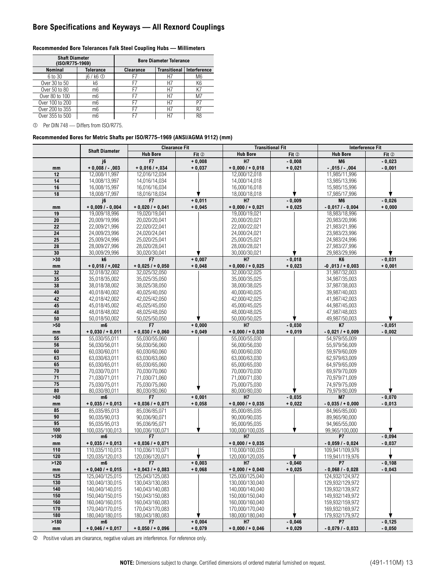### **Bore Specifications and Keyways — All Rexnord Couplings**

| <b>Shaft Diameter</b><br>(ISO/R775-1969) |                  |           | <b>Bore Diameter Tolerance</b> |                |
|------------------------------------------|------------------|-----------|--------------------------------|----------------|
| <b>Nominal</b>                           | <b>Tolerance</b> | Clearance | <b>Transitional</b>            | Interference   |
| 6 to 30                                  | i6 / k6 ①        | F7        | H7                             | M6             |
| Over 30 to 50                            | k6               | F7        | Η7                             | K <sub>6</sub> |
| Over 50 to 80                            | m6               | F7        | H7                             | K7             |
| Over 80 to 100                           | m6               | F7        | H7                             | M7             |
| Over 100 to 200                          | mб               | F7        | Η7                             | P7             |
| Over 200 to 355                          | m6               | F7        | H7                             | R7             |
| Over 355 to 500                          | mб               |           |                                | R8             |

### **Recommended Bore Tolerances Falk Steel Coupling Hubs — Millimeters**

Per DIN 748 — Differs from ISO/R775.

### **Recommended Bores for Metric Shafts per ISO/R775–1969 (ANSI/AGMA 9112) (mm)**

|                 |                                | <b>Clearance Fit</b>           |          |                                | <b>Transitional Fit</b> | <b>Interference Fit</b>        |          |
|-----------------|--------------------------------|--------------------------------|----------|--------------------------------|-------------------------|--------------------------------|----------|
|                 | <b>Shaft Diameter</b>          | <b>Hub Bore</b>                | Fit 2    | <b>Hub Bore</b>                | Fit 2                   | <b>Hub Bore</b>                | Fit 2    |
|                 | j6                             | F7                             | $+0,008$ | H7                             | $-0,008$                | M <sub>6</sub>                 | $-0,023$ |
| mm              | $+0,008/ -003$                 | $+0.016/ + 0.034$              | $+0,037$ | $+0,000$ / $+0,018$            | $+0,021$                | $-0.015/ -0.004$               | $-0,001$ |
| 12              | 12,008/11,997                  | 12,016/12,034                  |          | 12,000/12,018                  |                         | 11,985/11,996                  |          |
| 14              | 14,008/13,997                  | 14.016/14.034                  |          | 14,000/14,018                  |                         | 13,985/13,996                  |          |
| 16              | 16,008/15,997                  | 16.016/16.034                  |          | 16,000/16,018                  |                         | 15,985/15,996                  |          |
| 18              | 18,008/17,997                  | 18,016/18,034                  |          | 18,000/18,018                  |                         | 17,985/17,996                  |          |
|                 | j6                             | F7                             | $+0,011$ | H7                             | $-0,009$                | M <sub>6</sub>                 | $-0,026$ |
| mm              | $+0,009/ -0,004$               | $+0,020/00,041$                | $+0,045$ | $+0,000$ / $+0,021$            | $+0,025$                | $-0.017/ -0.004$               | $+0,000$ |
| 19              | 19,009/18,996                  | 19,020/19,041                  |          | 19,000/19,021                  |                         | 18,983/18,996                  |          |
| $\overline{20}$ | 20,009/19,996                  | 20.020/20.041                  |          | 20,000/20,021                  |                         | 20,983/20,996                  |          |
| 22              | 22,009/21,996                  | 22,020/22,041                  |          | 22,000/22,021                  |                         | 21,983/21,996                  |          |
| $\overline{24}$ | 24,009/23,996                  | 24,020/24,041                  |          | 24,000/24,021                  |                         | 23,983/23,996                  |          |
| $\overline{25}$ | 25,009/24,996                  | 25,020/25,041                  |          | 25,000/25,021                  |                         | 24,983/24,996                  |          |
| $\overline{28}$ | 28,009/27,996                  | 28.020/28.041                  |          | 28,000/28,021                  |                         | 27,983/27,996                  |          |
| 30              | 30,009/29,996                  | 30,020/30,041                  |          | 30,000/30,021                  |                         | 29,983/29,996                  |          |
| $>30$           | k6                             | F7                             | $+0,007$ | H7                             | $-0,018$                | K <sub>6</sub>                 | $-0,031$ |
| mm              | $+0,018/+002$                  | $+0,025/00,050$                | $+0,048$ | $+0,000$ / + 0,025             | $+0,023$                | $-0,013/0003$                  | $+0,001$ |
| 32              | 32,018/32,002                  | 32,025/32,050                  |          | 32,000/32,025                  |                         | 31,987/32,003                  |          |
| 35              | 35,018/35,002                  | 35,025/35,050                  |          | 35,000/35,025                  |                         | 34,987/35,003                  |          |
| 38              | 38,018/38,002                  | 38,025/38,050                  |          | 38,000/38,025                  |                         | 37,987/38,003                  |          |
| 40              | 40,018/40,002                  | 40,025/40,050                  |          | 40,000/40,025                  |                         | 39,987/40,003                  |          |
| 42              | 42,018/42,002                  | 42,025/42,050                  |          | 42,000/42,025                  |                         | 41,987/42,003                  |          |
| 45              | 45,018/45,002                  | 45,025/45,050                  |          | 45,000/45,025                  |                         | 44,987/45,003                  |          |
| 48              | 48,018/48,002                  | 48,025/48,050                  |          | 48,000/48,025                  |                         | 47,987/48,003                  |          |
| 50              | 50,018/50,002                  | 50,025/50,050                  |          | 50,000/50,025                  |                         | 49,987/50,003                  |          |
| $>50$           | m <sub>6</sub>                 | F7                             | $+0,000$ | H7                             | $-0,030$                | <b>K7</b>                      | $-0,051$ |
| mm              | $+0,030/00,011$                | $+0.030/ +0.060$               | $+0,049$ | $+0,000/00,030$                | $+0,019$                | $-0,021/0009$                  | $-0,002$ |
| 55              | 55,030/55,011                  | 55,030/55,060                  |          | 55,000/55,030                  |                         | 54,979/55,009                  |          |
| 56              | 56.030/56.011                  | 56.030/56.060                  |          | 56.000/56.030                  |                         | 55,979/56,009                  |          |
| 60              | 60.030/60.011                  | 60.030/60.060                  |          | 60,000/60,030                  |                         | 59.979/60.009                  |          |
| 63<br>65        | 63,030/63,011                  | 63,030/63,060                  |          | 63,000/63,030                  |                         | 62,979/63,009                  |          |
| $\overline{70}$ | 65,030/65,011                  | 65,030/65,060                  |          | 65,000/65,030                  |                         | 64,979/65,009                  |          |
| $\overline{71}$ | 70,030/70,011<br>71,030/71,011 | 70,030/70,060<br>71,030/71,060 |          | 70,000/70,030<br>71,000/71,030 |                         | 69,979/70,009<br>70,979/71,009 |          |
| $\overline{75}$ | 75,030/75,011                  | 75,030/75,060                  |          | 75,000/75,030                  |                         | 74,979/75,009                  |          |
| 80              | 80,030/80,011                  | 80,030/80,060                  |          | 80,000/80,030                  |                         | 79,979/80,009                  |          |
| >80             | m <sub>6</sub>                 | F7                             | $+0,001$ | H7                             | $-0.035$                | M7                             | $-0,070$ |
| mm              | $+0,035/0.013$                 | $+0,036/00,071$                | $+0,058$ | $+0,000$ / $+0,035$            | $+0,022$                | $-0,035/00,000$                | $-0,013$ |
| 85              | 85,035/85,013                  | 85,036/85,071                  |          | 85,000/85,035                  |                         | 84,965/85,000                  |          |
| 90              | 90,035/90,013                  | 90,036/90,071                  |          | 90,000/90,035                  |                         | 89,965/90,000                  |          |
| 95              | 95,035/95,013                  | 95,036/95,071                  |          | 95,000/95,035                  |                         | 94,965/55,000                  |          |
| 100             | 100,035/100,013                | 100.036/100.071                |          | 100.000/100.035                |                         | 99.965/100.000                 |          |
| >100            | m <sub>6</sub>                 | F7                             |          | H7                             |                         | P7                             | $-0,094$ |
| mm              | $+0,035/0.013$                 | $+0,036/ +0,071$               |          | $+0,000$ / + 0,035             |                         | $-0,059/ -0,024$               | $-0,037$ |
| 110             | 110,035/110,013                | 110,036/110,071                |          | 110,000/100,035                |                         | 109.941/109.976                |          |
| 120             | 120,035/120,013                | 120,036/120,071                |          | 120,000/120,035                |                         | 119,941/119,976                |          |
| >120            | m6                             | F7                             | $+0,003$ | H7                             | $-0,040$                | P7                             | $-0,108$ |
| mm              | $+0,040/ +0,015$               | $+0,043/ +0,083$               | $+0,068$ | $+0,000/00,040$                | $+0,025$                | $-0,068/ -0,028$               | $-0,043$ |
| 125             | 125,040/125,015                | 125,043/125,083                |          | 125,000/125,040                |                         | 124,932/124,972                |          |
| 130             | 130,040/130,015                | 130,043/130,083                |          | 130,000/130,040                |                         | 129,932/129,972                |          |
| 140             | 140,040/140,015                | 140,043/140,083                |          | 140,000/140,040                |                         | 139,932/139,972                |          |
| 150             | 150,040/150,015                | 150,043/150,083                |          | 150,000/150,040                |                         | 149,932/149,972                |          |
| 160             | 160,040/160,015                | 160,043/160,083                |          | 160,000/160,040                |                         | 159,932/159,972                |          |
| 170             | 170,040/170,015                | 170,043/170,083                |          | 170,000/170,040                |                         | 169,932/169,972                |          |
| 180             | 180.040/180.015                | 180,043/180,083                |          | 180,000/180,040                |                         | 179,932/179,972                |          |
| >180            | m6                             | F7                             | $+0,004$ | Н7                             | $-0,046$                | P7                             | $-0,125$ |
| mm              | $+0.046/+0.017$                | $+0,050/ +0,096$               | $+0,079$ | $+0,000$ / $+0,046$            | $+0,029$                | $-0,079/ -0,033$               | $-0,050$ |

Positive values are clearance, negative values are interference. For reference only.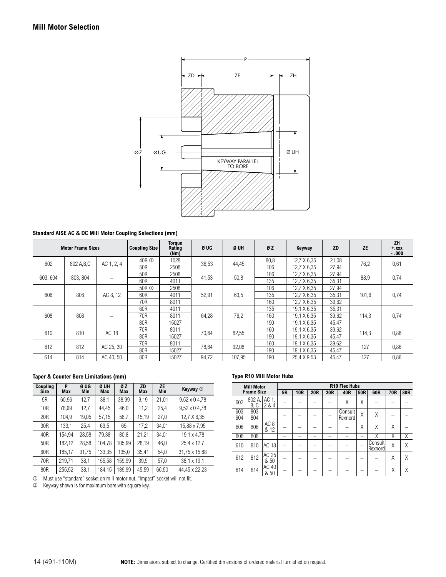

### **Standard AISE AC & DC Mill Motor Coupling Selections (mm)**

| <b>Motor Frame Sizes</b> |             |                          | <b>Coupling Size</b> | <b>Torque</b><br>Rating<br>(Nm) | Ø UG  | Ø UH   | ØZ   | Keyway      | <b>ZD</b> | <b>ZE</b> | ZH<br>$+ .$ $xxx$<br>$-.000$ |
|--------------------------|-------------|--------------------------|----------------------|---------------------------------|-------|--------|------|-------------|-----------|-----------|------------------------------|
| 602                      | 802 A, B, C | AC 1, 2, 4               | 40R ①                | 1028                            | 36,53 | 44,45  | 80,8 | 12,7 X 6,35 | 21,08     | 76,2      | 0,61                         |
|                          |             |                          | 50R                  | 2508                            |       |        | 106  | 12,7 X 6,35 | 27,94     |           |                              |
| 603, 604                 | 803.804     |                          | 50R                  | 2508                            | 41,53 | 50,8   | 106  | 12,7 X 6,35 | 27,94     | 88,9      | 0,74                         |
|                          |             | $\qquad \qquad$          | 60R                  | 4011                            |       |        | 135  | 12,7 X 6,35 | 35,31     |           |                              |
|                          |             |                          | 50R ①                | 2508                            |       |        | 106  | 12,7 X 6,35 | 27,94     |           |                              |
| 606                      | 806         | AC 8, 12                 | 60R                  | 4011                            | 52,91 | 63,5   | 135  | 12,7 X 6,35 | 35,31     | 101,6     | 0,74                         |
|                          |             |                          | 70R                  | 8011                            |       |        | 160  | 12,7 X 6,35 | 39,62     |           |                              |
|                          |             |                          | 60R                  | 4011                            |       |        | 135  | 19.1 X 6.35 | 35,31     |           |                              |
| 608                      | 808         | $\overline{\phantom{0}}$ | 70R                  | 8011                            | 64,28 | 76,2   | 160  | 19,1 X 6,35 | 39,62     | 114.3     | 0,74                         |
|                          |             |                          | 80R                  | 15027                           |       |        | 190  | 19.1 X 6.35 | 45,47     |           |                              |
| 610                      | 810         | AC 18                    | 70R                  | 8011                            | 70,64 | 82,55  | 160  | 19.1 X 6.35 | 39,62     | 114,3     | 0,86                         |
|                          |             |                          | 80R                  | 15027                           |       |        | 190  | 19,1 X 6,35 | 45,47     |           |                              |
| 612                      | 812         | AC 25, 30                | 70R                  | 8011                            |       | 92,08  | 160  | 19,1 X 6,35 | 39,62     | 127       | 0,86                         |
|                          |             |                          | 80R                  | 15027                           | 78,84 |        | 190  | 19,1 X 6,35 | 45,47     |           |                              |
| 614                      | 814         | AC 40, 50                | 80R                  | 15027                           | 94,72 | 107.95 | 190  | 25,4 X 9,53 | 45,47     | 127       | 0,86                         |

### **Taper & Counter Bore Limitations (mm)**

| Coupling<br><b>Size</b> | P<br>Max | Ø UG<br>Min | Ø UH<br>Max | ØZ<br>Max | ZD<br>Max | <b>ZE</b><br>Min | Keyway 2             |
|-------------------------|----------|-------------|-------------|-----------|-----------|------------------|----------------------|
| 5R                      | 60,96    | 12,7        | 38,1        | 38,99     | 9,19      | 21,01            | $9,52 \times 04,78$  |
| 10R                     | 78.99    | 12,7        | 44.45       | 46,0      | 11,2      | 25.4             | $9.52 \times 0.4.78$ |
| 20R                     | 104.9    | 19,05       | 57,15       | 58,7      | 15,19     | 27,0             | 12,7 X 6,35          |
| 30R                     | 133,1    | 25,4        | 63,5        | 65        | 17,2      | 34.01            | 15,88 x 7,95         |
| 40R                     | 154.94   | 28.58       | 79.38       | 80.8      | 21.21     | 34.01            | 19.1 x 4.78          |
| 50R                     | 182,12   | 28.58       | 104.78      | 105.99    | 28.19     | 46,0             | 25,4 x 12,7          |
| 60R                     | 185.17   | 31.75       | 133.35      | 135.0     | 35.41     | 54.0             | 31.75 x 15.88        |
| 70R                     | 219.71   | 38,1        | 155,58      | 159.99    | 39.9      | 57,0             | 38,1 x 19,1          |
| 80R                     | 255.52   | 381         | 184 15      | 189.99    | 45.59     | 66.50            | 44 45 x 22 23        |

 $|20,52|$  38,1 | 184,15 | 189,99 | 45,59 | 66,50 | 44,4 Must use "standard" socket on mill motor nut. "Impact" socket will not fit.

Keyway shown is for maximum bore with square key.

### **Type R10 Mill Motor Hubs**

| <b>Mill Motor</b> |               |                         | R10 Flex Hubs |            |            |     |                    |     |                    |     |            |
|-------------------|---------------|-------------------------|---------------|------------|------------|-----|--------------------|-----|--------------------|-----|------------|
| <b>Frame Size</b> |               |                         | 5R            | <b>10R</b> | <b>20R</b> | 30R | 40R                | 50R | 60R                | 70R | <b>80R</b> |
| 602               | 802 A<br>B, C | AC 1.<br>284            |               |            |            |     | Χ                  | Χ   |                    |     |            |
| 603<br>604        | 803<br>804    |                         |               |            |            |     | Consult<br>Rexnord | X   | Χ                  |     |            |
| 606               | 806           | AC <sub>8</sub><br>& 12 |               |            |            |     |                    | Χ   | Χ                  | Χ   |            |
| 608               | 808           |                         |               |            |            |     |                    |     | Χ                  | Χ   | Χ          |
| 610               | 810           | <b>AC 18</b>            |               |            |            |     |                    |     | Consult<br>Rexnord | X   | Χ          |
| 612               | 812           | AC 25<br>& 50           |               |            |            |     |                    |     |                    | X   | Χ          |
| 614               | 814           | AC 40<br>& 50           |               |            |            |     |                    |     |                    | Χ   | Χ          |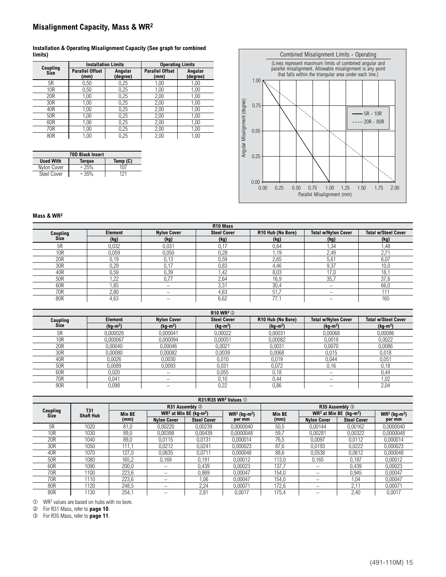### **Misalignment Capacity, Mass & WR2**

### **Installation & Operating Misalignment Capacity (See graph for combined limits)**

| Coupling    | <b>Installation Limits</b>    |                     | <b>Operating Limits</b>       |                     |  |  |
|-------------|-------------------------------|---------------------|-------------------------------|---------------------|--|--|
| <b>Size</b> | <b>Parallel Offset</b><br>(mm | Angular<br>(degree) | <b>Parallel Offset</b><br>(mm | Angular<br>(degree) |  |  |
| 5R          | 0,50                          | 0,25                | 1,00                          | 1,00                |  |  |
| 10R         | 0,50                          | 0,25                | 1,00                          | 1,00                |  |  |
| 20R         | 1,00                          | 0,25                | 2,00                          | 1,00                |  |  |
| 30R         | 1,00                          | 0,25                | 2,00                          | 1,00                |  |  |
| 40R         | 1,00                          | 0,25                | 2,00                          | 1,00                |  |  |
| 50R         | 1,00                          | 0,25                | 2,00                          | 1,00                |  |  |
| 60R         | 1,00                          | 0,25                | 2,00                          | 1,00                |  |  |
| 70R         | 1.00                          | 0,25                | 2,00                          | 1,00                |  |  |
| 80R         | 1.00                          | 0.25                | 2,00                          | 1,00                |  |  |

| <b>70D Black Insert</b> |        |          |  |  |  |  |  |
|-------------------------|--------|----------|--|--|--|--|--|
| <b>Used With</b>        | Torque | Temp (C) |  |  |  |  |  |
| Nylon Cover             | $+25%$ | 107      |  |  |  |  |  |
| <b>Steel Cover</b>      | 35%    |          |  |  |  |  |  |



### **Mass & WR2**

|                 |                |                    | R <sub>10</sub> Mass |                   |                            |                            |  |
|-----------------|----------------|--------------------|----------------------|-------------------|----------------------------|----------------------------|--|
| Coupling        | <b>Element</b> | <b>Nylon Cover</b> | <b>Steel Cover</b>   | R10 Hub (No Bore) | <b>Total w/Nylon Cover</b> | <b>Total w/Steel Cover</b> |  |
| <b>Size</b>     | (kg)           | (kg)               | (kg)                 | (kg)              | (kg)                       | (kg)                       |  |
| 5R              | 0,032          | 0,031              | 0,17                 | 0,64              | i, 34                      | 1,48                       |  |
| 10 <sub>R</sub> | 0,059          | 0,050              | 0,28                 | ,19               | 2,49                       | 2.7'                       |  |
| 20R             | 0,19           | 0,13               | 0,59                 | 2,65              | 5.6 <sup>′</sup>           | 6,07                       |  |
| 30R             | 0,29           | 0.17               | 0,83                 | 4,46              | 9,37                       | 10,0                       |  |
| 40R             | 0,59           | 0,39               | 1.42                 | 8,03              | 17.0                       | 18.7                       |  |
| 50R             | .22            | 0,77               | 2,64                 | 16,9              | 35.7                       | 37,6                       |  |
| 60R             | ,85            |                    | 3,31                 | 30,4              |                            | 66,0                       |  |
| 70R             | 2,80           |                    | 4,63                 | 51                |                            | 111                        |  |
| 80R             | 4,63           |                    | 6,62                 | 77.7              |                            | 165                        |  |

|                 |           |                          | <b>R10 WR<sup>2</sup> ②</b> |                   |                            |                            |  |
|-----------------|-----------|--------------------------|-----------------------------|-------------------|----------------------------|----------------------------|--|
| Coupling        | Element   | <b>Nylon Cover</b>       | <b>Steel Cover</b>          | R10 Hub (No Bore) | <b>Total w/Nylon Cover</b> | <b>Total w/Steel Cover</b> |  |
| <b>Size</b>     | $(kg-m2)$ | $(kg-m2)$                | $(kg-m2)$                   | $(kg-m2)$         | (kg-m <sup>2</sup> )       | $(kg-m2)$                  |  |
| 5R              | 0,000026  | 0,000041                 | 0,00022                     | 0,00031           | 0,00068                    | 0,00086                    |  |
| 10 <sub>R</sub> | 0,000067  | 0,000094                 | 0,00051                     | 0,00082           | 0,0018                     | 0,0022                     |  |
| 20R             | 0,00040   | 0,00046                  | 0,0021                      | 0.0031            | 0,0070                     | 0,0086                     |  |
| 30R             | 0,00080   | 0,00082                  | 0,0039                      | 0.0068            | 0.015                      | 0,018                      |  |
| 40R             | 0.0026    | 0.0030                   | 0,010                       | 0,019             | 0,044                      | 0,051                      |  |
| 50R             | 0.0089    | 0.0093                   | 0,031                       | 0.072             | 0.16                       | 0,18                       |  |
| 60R             | 0,020     | $\overline{\phantom{0}}$ | 0,055                       | 0,18              | $\overline{\phantom{0}}$   | 0,44                       |  |
| 70R             | 0.041     | $\overline{\phantom{0}}$ | 0,10                        | 0,44              | $\overline{\phantom{0}}$   | 1,02                       |  |
| 80 <sub>R</sub> | 0,098     |                          | 0,22                        | 0,86              |                            | 2,04                       |  |

| R31/R35 WR <sup>2</sup> Values $\mathbb O$ |                                |               |                                      |                    |                            |                |                                      |                    |                            |  |  |
|--------------------------------------------|--------------------------------|---------------|--------------------------------------|--------------------|----------------------------|----------------|--------------------------------------|--------------------|----------------------------|--|--|
| Coupling<br>Size                           |                                |               |                                      | R31 Assembly 2     |                            | R35 Assembly 3 |                                      |                    |                            |  |  |
|                                            | <b>T31</b><br><b>Shaft Hub</b> | <b>Min BE</b> | $WR2$ at Min BE (kq-m <sup>2</sup> ) |                    | $WR2$ (kg-m <sup>2</sup> ) | Min BE         | $WR2$ at Min BE (kq-m <sup>2</sup> ) |                    | $WR2$ (kg-m <sup>2</sup> ) |  |  |
|                                            |                                | (mm)          | <b>Nylon Cover</b>                   | <b>Steel Cover</b> | per mm                     | (mm)           | <b>Nylon Cover</b>                   | <b>Steel Cover</b> | per mm                     |  |  |
| 5R                                         | 1020                           | 81.0          | 0.00220                              | 0.00239            | 0.0000040                  | 50.5           | 0.00144                              | 0.00162            | 0.0000040                  |  |  |
| 10R                                        | 1030                           | 89.0          | 0,00398                              | 0.00439            | 0.0000048                  | 59,7           | 0.00281                              | 0.00322            | 0.0000048                  |  |  |
| 20R                                        | 1040                           | 89,0          | 0.0115                               | 0.0131             | 0.000014                   | 76,5           | 0.0097                               | 0.0112             | 0.000014                   |  |  |
| 30R                                        | 1050                           | 111.1         | 0.0212                               | 0.0241             | 0.000023                   | 87.6           | 0.0193                               | 0.0222             | 0.000023                   |  |  |
| 40R                                        | 1070                           | 127,0         | 0,0635                               | 0.0711             | 0.000048                   | 88,6           | 0,0538                               | 0.0612             | 0,000048                   |  |  |
| 50R                                        | 1080                           | 165,2         | 0.169                                | 0.191              | 0.00012                    | 113.0          | 0.165                                | 0.187              | 0.00012                    |  |  |
| 60R                                        | 1090                           | 200,0         |                                      | 0.439              | 0.00023                    | 137.7          |                                      | 0.439              | 0,00023                    |  |  |
| 70R                                        | 1100                           | 223,6         | -                                    | 0,869              | 0,00047                    | 154,0          | -                                    | 0.945              | 0,00047                    |  |  |
| 70R                                        | 1110                           | 223,6         |                                      | 1,06               | 0.00047                    | 154,0          |                                      | 1.04               | 0.00047                    |  |  |
| 80R                                        | 1120                           | 248.5         | -                                    | 2,24               | 0,00071                    | 172.6          | -                                    | 2,11               | 0.00071                    |  |  |
| 80R                                        | 1130                           | 254,1         |                                      | 2,81               | 0,0017                     | 175.4          |                                      | 2,40               | 0,0017                     |  |  |

WR2 values are based on hubs with no bore.

For R31 Mass, refer to **page 10**.

For R35 Mass, refer to **page 11**.